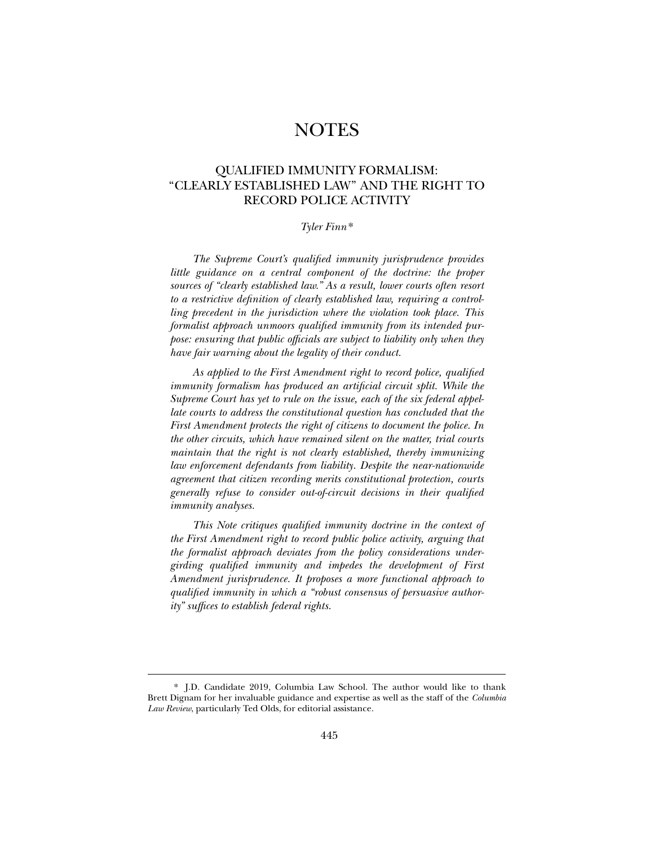# **NOTES**

## QUALIFIED IMMUNITY FORMALISM: "CLEARLY ESTABLISHED LAW" AND THE RIGHT TO RECORD POLICE ACTIVITY

## *Tyler Finn*\*

*The Supreme Court's qualified immunity jurisprudence provides little guidance on a central component of the doctrine: the proper sources of "clearly established law." As a result, lower courts often resort to a restrictive definition of clearly established law, requiring a controlling precedent in the jurisdiction where the violation took place. This formalist approach unmoors qualified immunity from its intended purpose: ensuring that public officials are subject to liability only when they have fair warning about the legality of their conduct.* 

*As applied to the First Amendment right to record police, qualified immunity formalism has produced an artificial circuit split. While the Supreme Court has yet to rule on the issue, each of the six federal appellate courts to address the constitutional question has concluded that the First Amendment protects the right of citizens to document the police. In the other circuits, which have remained silent on the matter, trial courts maintain that the right is not clearly established, thereby immunizing law enforcement defendants from liability. Despite the near-nationwide agreement that citizen recording merits constitutional protection, courts generally refuse to consider out-of-circuit decisions in their qualified immunity analyses.* 

*This Note critiques qualified immunity doctrine in the context of the First Amendment right to record public police activity, arguing that the formalist approach deviates from the policy considerations undergirding qualified immunity and impedes the development of First Amendment jurisprudence. It proposes a more functional approach to qualified immunity in which a "robust consensus of persuasive authority" suffices to establish federal rights.* 

<sup>\*</sup> J.D. Candidate 2019, Columbia Law School. The author would like to thank Brett Dignam for her invaluable guidance and expertise as well as the staff of the *Columbia Law Review*, particularly Ted Olds, for editorial assistance.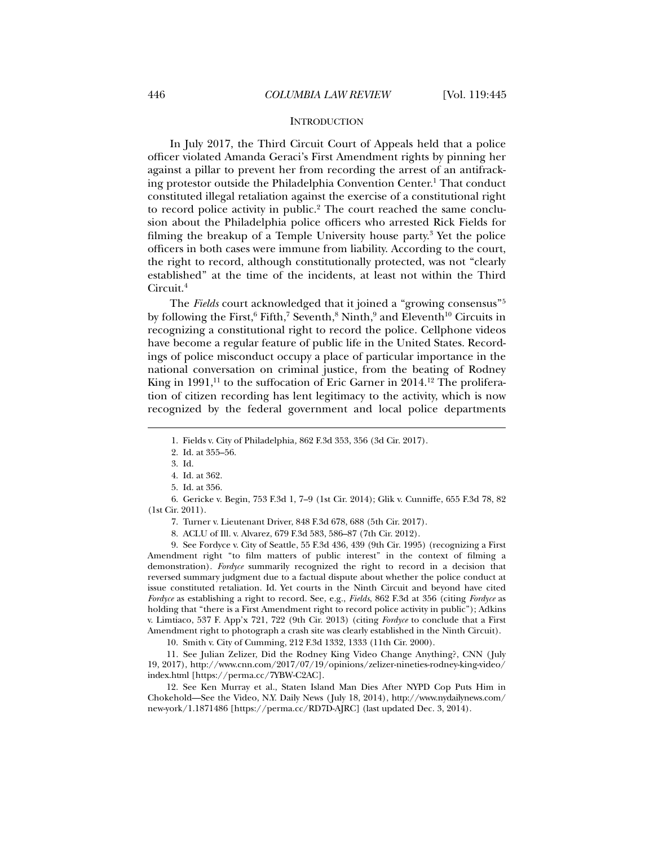#### **INTRODUCTION**

In July 2017, the Third Circuit Court of Appeals held that a police officer violated Amanda Geraci's First Amendment rights by pinning her against a pillar to prevent her from recording the arrest of an antifracking protestor outside the Philadelphia Convention Center.<sup>1</sup> That conduct constituted illegal retaliation against the exercise of a constitutional right to record police activity in public.<sup>2</sup> The court reached the same conclusion about the Philadelphia police officers who arrested Rick Fields for filming the breakup of a Temple University house party.3 Yet the police officers in both cases were immune from liability. According to the court, the right to record, although constitutionally protected, was not "clearly established" at the time of the incidents, at least not within the Third Circuit.4

The *Fields* court acknowledged that it joined a "growing consensus"5 by following the First, $^6$  Fifth, $^7$  Seventh, $^8$  Ninth, $^9$  and Eleventh $^{10}$  Circuits in recognizing a constitutional right to record the police. Cellphone videos have become a regular feature of public life in the United States. Recordings of police misconduct occupy a place of particular importance in the national conversation on criminal justice, from the beating of Rodney King in  $1991$ ,<sup>11</sup> to the suffocation of Eric Garner in  $2014$ .<sup>12</sup> The proliferation of citizen recording has lent legitimacy to the activity, which is now recognized by the federal government and local police departments

l

 6. Gericke v. Begin, 753 F.3d 1, 7–9 (1st Cir. 2014); Glik v. Cunniffe, 655 F.3d 78, 82 (1st Cir. 2011).

7. Turner v. Lieutenant Driver, 848 F.3d 678, 688 (5th Cir. 2017).

8. ACLU of Ill. v. Alvarez, 679 F.3d 583, 586–87 (7th Cir. 2012).

 9. See Fordyce v. City of Seattle, 55 F.3d 436, 439 (9th Cir. 1995) (recognizing a First Amendment right "to film matters of public interest" in the context of filming a demonstration). *Fordyce* summarily recognized the right to record in a decision that reversed summary judgment due to a factual dispute about whether the police conduct at issue constituted retaliation. Id. Yet courts in the Ninth Circuit and beyond have cited *Fordyce* as establishing a right to record. See, e.g., *Fields*, 862 F.3d at 356 (citing *Fordyce* as holding that "there is a First Amendment right to record police activity in public"); Adkins v. Limtiaco, 537 F. App'x 721, 722 (9th Cir. 2013) (citing *Fordyce* to conclude that a First Amendment right to photograph a crash site was clearly established in the Ninth Circuit).

10. Smith v. City of Cumming, 212 F.3d 1332, 1333 (11th Cir. 2000).

 11. See Julian Zelizer, Did the Rodney King Video Change Anything?, CNN (July 19, 2017), http://www.cnn.com/2017/07/19/opinions/zelizer-nineties-rodney-king-video/ index.html [https://perma.cc/7YBW-C2AC].

 12. See Ken Murray et al., Staten Island Man Dies After NYPD Cop Puts Him in Chokehold—See the Video, N.Y. Daily News (July 18, 2014), http://www.nydailynews.com/ new-york/1.1871486 [https://perma.cc/RD7D-AJRC] (last updated Dec. 3, 2014).

 <sup>1.</sup> Fields v. City of Philadelphia*,* 862 F.3d 353, 356 (3d Cir. 2017).

 <sup>2.</sup> Id. at 355–56.

 <sup>3.</sup> Id.

 <sup>4.</sup> Id. at 362.

 <sup>5.</sup> Id. at 356.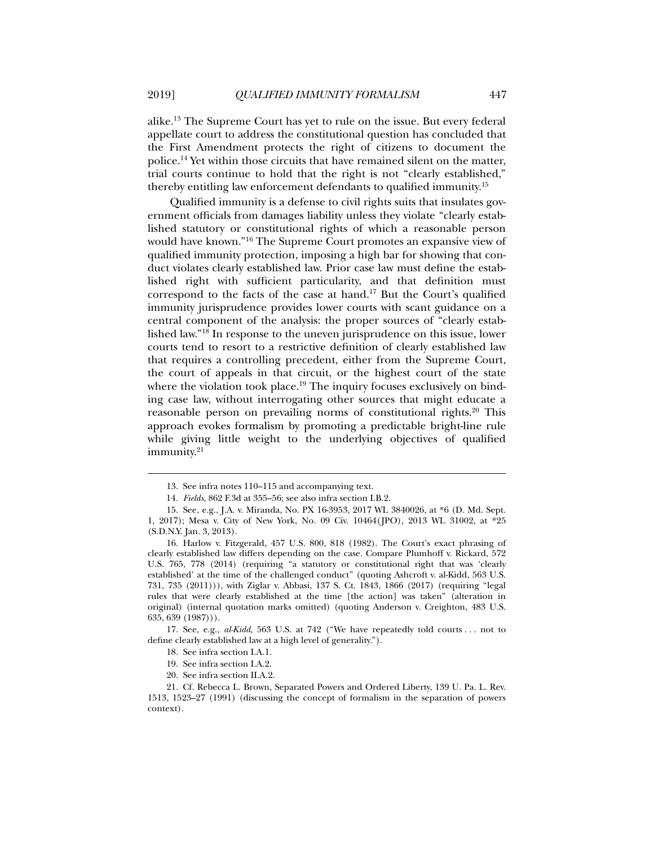alike.13 The Supreme Court has yet to rule on the issue. But every federal appellate court to address the constitutional question has concluded that the First Amendment protects the right of citizens to document the police.<sup>14</sup> Yet within those circuits that have remained silent on the matter, trial courts continue to hold that the right is not "clearly established," thereby entitling law enforcement defendants to qualified immunity.15

Qualified immunity is a defense to civil rights suits that insulates government officials from damages liability unless they violate "clearly established statutory or constitutional rights of which a reasonable person would have known."16 The Supreme Court promotes an expansive view of qualified immunity protection, imposing a high bar for showing that conduct violates clearly established law. Prior case law must define the established right with sufficient particularity, and that definition must correspond to the facts of the case at hand.17 But the Court's qualified immunity jurisprudence provides lower courts with scant guidance on a central component of the analysis: the proper sources of "clearly established law."18 In response to the uneven jurisprudence on this issue, lower courts tend to resort to a restrictive definition of clearly established law that requires a controlling precedent, either from the Supreme Court, the court of appeals in that circuit, or the highest court of the state where the violation took place.<sup>19</sup> The inquiry focuses exclusively on binding case law, without interrogating other sources that might educate a reasonable person on prevailing norms of constitutional rights.<sup>20</sup> This approach evokes formalism by promoting a predictable bright-line rule while giving little weight to the underlying objectives of qualified immunity.<sup>21</sup>

 17. See, e.g., *al-Kidd*, 563 U.S. at 742 ("We have repeatedly told courts . . . not to define clearly established law at a high level of generality.").

 <sup>13.</sup> See infra notes 110–115 and accompanying text.

<sup>14</sup>*. Fields*, 862 F.3d at 355–56; see also infra section I.B.2.

 <sup>15.</sup> See, e.g., J.A. v. Miranda, No. PX 16-3953, 2017 WL 3840026, at \*6 (D. Md. Sept. 1, 2017); Mesa v. City of New York, No. 09 Civ. 10464(JPO), 2013 WL 31002, at \*25 (S.D.N.Y. Jan. 3, 2013).

 <sup>16.</sup> Harlow v. Fitzgerald, 457 U.S. 800, 818 (1982). The Court's exact phrasing of clearly established law differs depending on the case. Compare Plumhoff v. Rickard, 572 U.S. 765, 778 (2014) (requiring "a statutory or constitutional right that was 'clearly established' at the time of the challenged conduct" (quoting Ashcroft v. al-Kidd, 563 U.S. 731, 735 (2011))), with Ziglar v. Abbasi, 137 S. Ct. 1843, 1866 (2017) (requiring "legal rules that were clearly established at the time [the action] was taken" (alteration in original) (internal quotation marks omitted) (quoting Anderson v. Creighton, 483 U.S. 635, 639 (1987))).

 <sup>18.</sup> See infra section I.A.1.

 <sup>19.</sup> See infra section I.A.2.

 <sup>20.</sup> See infra section II.A.2.

 <sup>21.</sup> Cf. Rebecca L. Brown, Separated Powers and Ordered Liberty, 139 U. Pa. L. Rev. 1513, 1523–27 (1991) (discussing the concept of formalism in the separation of powers context).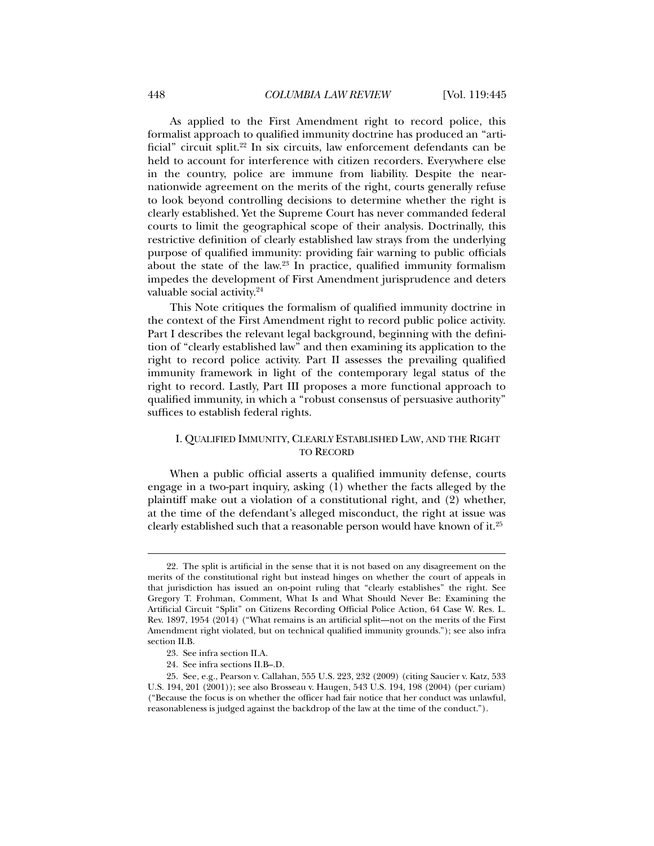As applied to the First Amendment right to record police, this formalist approach to qualified immunity doctrine has produced an "artificial" circuit split.22 In six circuits, law enforcement defendants can be held to account for interference with citizen recorders. Everywhere else in the country, police are immune from liability. Despite the nearnationwide agreement on the merits of the right, courts generally refuse to look beyond controlling decisions to determine whether the right is clearly established. Yet the Supreme Court has never commanded federal courts to limit the geographical scope of their analysis. Doctrinally, this restrictive definition of clearly established law strays from the underlying purpose of qualified immunity: providing fair warning to public officials about the state of the law. $23$  In practice, qualified immunity formalism impedes the development of First Amendment jurisprudence and deters valuable social activity.24

This Note critiques the formalism of qualified immunity doctrine in the context of the First Amendment right to record public police activity. Part I describes the relevant legal background, beginning with the definition of "clearly established law" and then examining its application to the right to record police activity. Part II assesses the prevailing qualified immunity framework in light of the contemporary legal status of the right to record. Lastly, Part III proposes a more functional approach to qualified immunity, in which a "robust consensus of persuasive authority" suffices to establish federal rights.

## I. QUALIFIED IMMUNITY, CLEARLY ESTABLISHED LAW, AND THE RIGHT TO RECORD

When a public official asserts a qualified immunity defense, courts engage in a two-part inquiry, asking (1) whether the facts alleged by the plaintiff make out a violation of a constitutional right, and (2) whether, at the time of the defendant's alleged misconduct, the right at issue was clearly established such that a reasonable person would have known of it.25

 <sup>22.</sup> The split is artificial in the sense that it is not based on any disagreement on the merits of the constitutional right but instead hinges on whether the court of appeals in that jurisdiction has issued an on-point ruling that "clearly establishes" the right. See Gregory T. Frohman, Comment, What Is and What Should Never Be: Examining the Artificial Circuit "Split" on Citizens Recording Official Police Action, 64 Case W. Res. L. Rev. 1897, 1954 (2014) ("What remains is an artificial split—not on the merits of the First Amendment right violated, but on technical qualified immunity grounds."); see also infra section II.B.

 <sup>23.</sup> See infra section II.A.

 <sup>24.</sup> See infra sections II.B–.D.

 <sup>25.</sup> See, e.g., Pearson v. Callahan, 555 U.S. 223, 232 (2009) (citing Saucier v. Katz, 533 U.S. 194, 201 (2001)); see also Brosseau v. Haugen, 543 U.S. 194, 198 (2004) (per curiam) ("Because the focus is on whether the officer had fair notice that her conduct was unlawful, reasonableness is judged against the backdrop of the law at the time of the conduct.").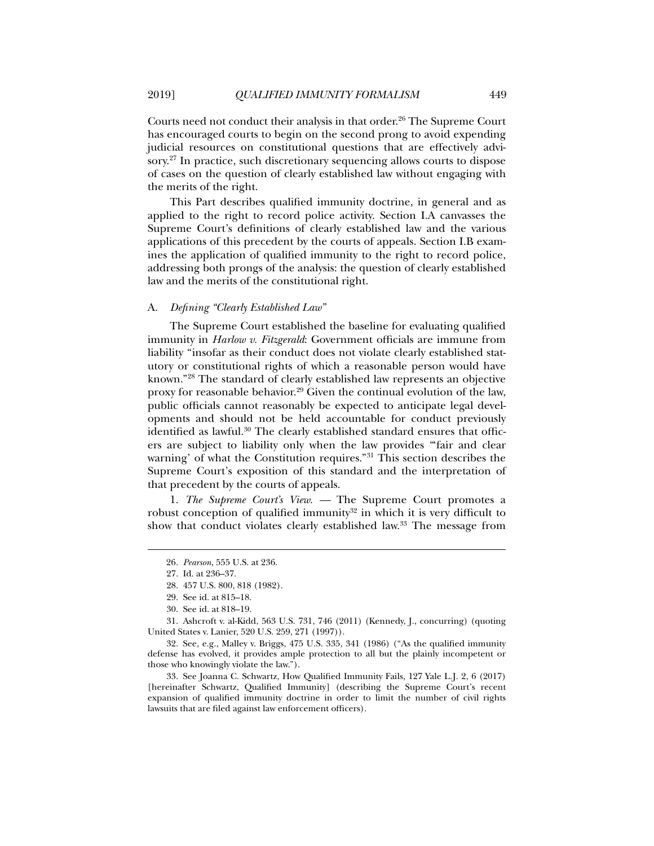Courts need not conduct their analysis in that order.<sup>26</sup> The Supreme Court has encouraged courts to begin on the second prong to avoid expending judicial resources on constitutional questions that are effectively advisory.27 In practice, such discretionary sequencing allows courts to dispose of cases on the question of clearly established law without engaging with the merits of the right.

This Part describes qualified immunity doctrine, in general and as applied to the right to record police activity. Section I.A canvasses the Supreme Court's definitions of clearly established law and the various applications of this precedent by the courts of appeals. Section I.B examines the application of qualified immunity to the right to record police, addressing both prongs of the analysis: the question of clearly established law and the merits of the constitutional right.

#### A. *Defining "Clearly Established Law"*

The Supreme Court established the baseline for evaluating qualified immunity in *Harlow v. Fitzgerald*: Government officials are immune from liability "insofar as their conduct does not violate clearly established statutory or constitutional rights of which a reasonable person would have known."28 The standard of clearly established law represents an objective proxy for reasonable behavior.29 Given the continual evolution of the law, public officials cannot reasonably be expected to anticipate legal developments and should not be held accountable for conduct previously identified as lawful.<sup>30</sup> The clearly established standard ensures that officers are subject to liability only when the law provides "'fair and clear warning' of what the Constitution requires."31 This section describes the Supreme Court's exposition of this standard and the interpretation of that precedent by the courts of appeals.

1. *The Supreme Court's View. —* The Supreme Court promotes a robust conception of qualified immunity $32$  in which it is very difficult to show that conduct violates clearly established law.33 The message from

l

 31. Ashcroft v. al-Kidd, 563 U.S. 731, 746 (2011) (Kennedy, J., concurring) (quoting United States v. Lanier, 520 U.S. 259, 271 (1997)).

 32. See, e.g., Malley v. Briggs, 475 U.S. 335, 341 (1986) ("As the qualified immunity defense has evolved, it provides ample protection to all but the plainly incompetent or those who knowingly violate the law.").

 33. See Joanna C. Schwartz, How Qualified Immunity Fails, 127 Yale L.J. 2, 6 (2017) [hereinafter Schwartz, Qualified Immunity] (describing the Supreme Court's recent expansion of qualified immunity doctrine in order to limit the number of civil rights lawsuits that are filed against law enforcement officers).

<sup>26</sup>*. Pearson*, 555 U.S. at 236.

 <sup>27.</sup> Id. at 236–37.

 <sup>28. 457</sup> U.S. 800, 818 (1982).

 <sup>29.</sup> See id. at 815–18.

 <sup>30.</sup> See id. at 818–19.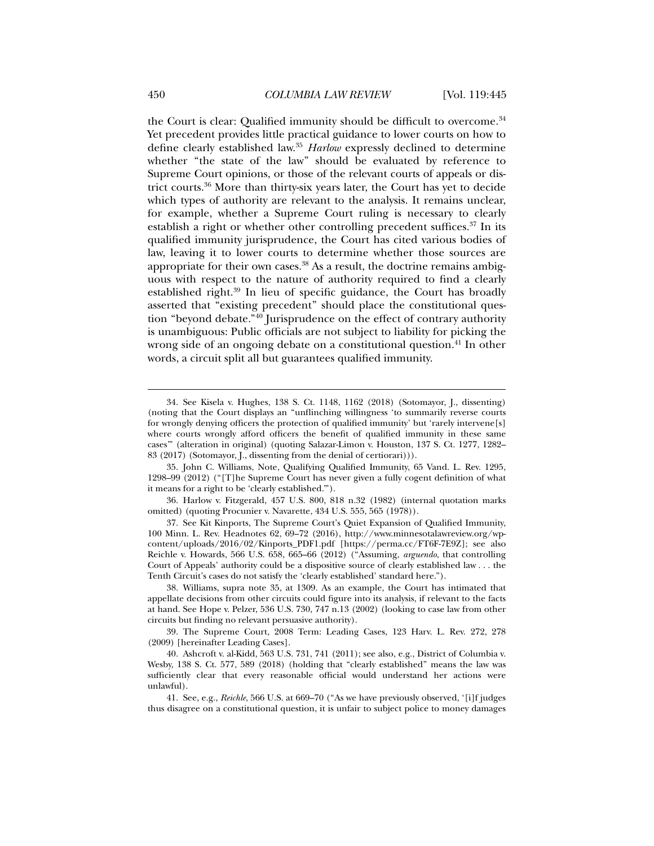the Court is clear: Qualified immunity should be difficult to overcome.<sup>34</sup> Yet precedent provides little practical guidance to lower courts on how to define clearly established law.35 *Harlow* expressly declined to determine whether "the state of the law" should be evaluated by reference to Supreme Court opinions, or those of the relevant courts of appeals or district courts.36 More than thirty-six years later, the Court has yet to decide which types of authority are relevant to the analysis. It remains unclear, for example, whether a Supreme Court ruling is necessary to clearly establish a right or whether other controlling precedent suffices.<sup>37</sup> In its qualified immunity jurisprudence, the Court has cited various bodies of law, leaving it to lower courts to determine whether those sources are appropriate for their own cases.<sup>38</sup> As a result, the doctrine remains ambiguous with respect to the nature of authority required to find a clearly established right.39 In lieu of specific guidance, the Court has broadly asserted that "existing precedent" should place the constitutional question "beyond debate."40 Jurisprudence on the effect of contrary authority is unambiguous: Public officials are not subject to liability for picking the wrong side of an ongoing debate on a constitutional question.<sup>41</sup> In other words, a circuit split all but guarantees qualified immunity.

 39. The Supreme Court, 2008 Term: Leading Cases, 123 Harv. L. Rev. 272, 278 (2009) [hereinafter Leading Cases].

 <sup>34.</sup> See Kisela v. Hughes, 138 S. Ct. 1148, 1162 (2018) (Sotomayor, J., dissenting) (noting that the Court displays an "unflinching willingness 'to summarily reverse courts for wrongly denying officers the protection of qualified immunity' but 'rarely intervene[s] where courts wrongly afford officers the benefit of qualified immunity in these same cases'" (alteration in original) (quoting Salazar-Limon v. Houston, 137 S. Ct. 1277, 1282– 83 (2017) (Sotomayor, J., dissenting from the denial of certiorari))).

 <sup>35.</sup> John C. Williams, Note, Qualifying Qualified Immunity, 65 Vand. L. Rev. 1295, 1298–99 (2012) ("[T]he Supreme Court has never given a fully cogent definition of what it means for a right to be 'clearly established.'").

 <sup>36.</sup> Harlow v. Fitzgerald, 457 U.S. 800, 818 n.32 (1982) (internal quotation marks omitted) (quoting Procunier v. Navarette, 434 U.S. 555, 565 (1978)).

 <sup>37.</sup> See Kit Kinports, The Supreme Court's Quiet Expansion of Qualified Immunity, 100 Minn. L. Rev. Headnotes 62, 69–72 (2016), http://www.minnesotalawreview.org/wpcontent/uploads/2016/02/Kinports\_PDF1.pdf [https://perma.cc/FT6F-7E9Z]; see also Reichle v. Howards, 566 U.S. 658, 665–66 (2012) ("Assuming, *arguendo*, that controlling Court of Appeals' authority could be a dispositive source of clearly established law . . . the Tenth Circuit's cases do not satisfy the 'clearly established' standard here.").

 <sup>38.</sup> Williams, supra note 35, at 1309. As an example, the Court has intimated that appellate decisions from other circuits could figure into its analysis, if relevant to the facts at hand. See Hope v. Pelzer, 536 U.S. 730, 747 n.13 (2002) (looking to case law from other circuits but finding no relevant persuasive authority).

 <sup>40.</sup> Ashcroft v. al-Kidd, 563 U.S. 731, 741 (2011); see also, e.g., District of Columbia v. Wesby, 138 S. Ct. 577, 589 (2018) (holding that "clearly established" means the law was sufficiently clear that every reasonable official would understand her actions were unlawful).

 <sup>41.</sup> See, e.g., *Reichle*, 566 U.S. at 669–70 ("As we have previously observed, '[i]f judges thus disagree on a constitutional question, it is unfair to subject police to money damages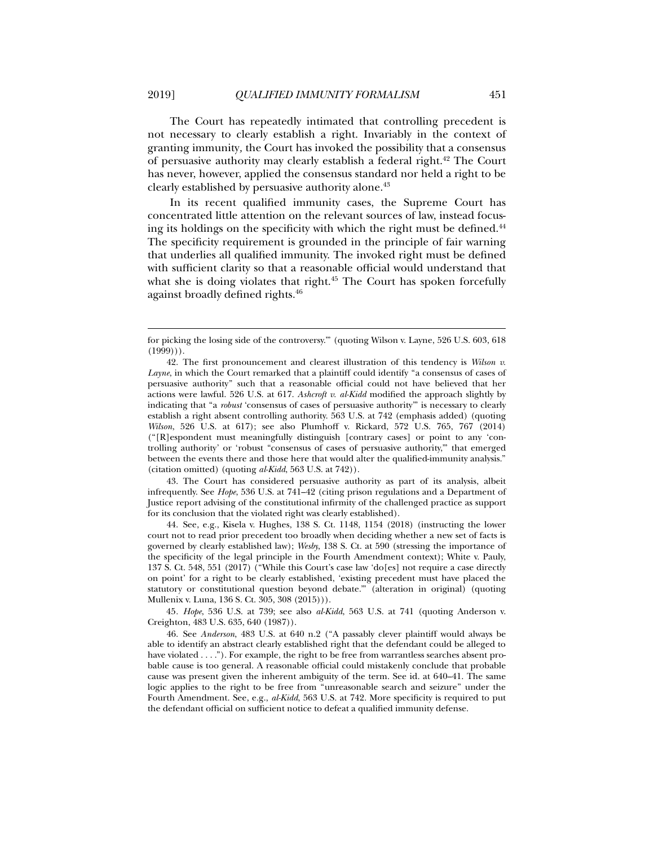The Court has repeatedly intimated that controlling precedent is not necessary to clearly establish a right. Invariably in the context of granting immunity*,* the Court has invoked the possibility that a consensus of persuasive authority may clearly establish a federal right.42 The Court has never, however, applied the consensus standard nor held a right to be clearly established by persuasive authority alone.43

In its recent qualified immunity cases, the Supreme Court has concentrated little attention on the relevant sources of law, instead focusing its holdings on the specificity with which the right must be defined.<sup>44</sup> The specificity requirement is grounded in the principle of fair warning that underlies all qualified immunity. The invoked right must be defined with sufficient clarity so that a reasonable official would understand that what she is doing violates that right.<sup>45</sup> The Court has spoken forcefully against broadly defined rights.46

 43. The Court has considered persuasive authority as part of its analysis, albeit infrequently. See *Hope*, 536 U.S. at 741–42 (citing prison regulations and a Department of Justice report advising of the constitutional infirmity of the challenged practice as support for its conclusion that the violated right was clearly established).

 44. See, e.g., Kisela v. Hughes, 138 S. Ct. 1148, 1154 (2018) (instructing the lower court not to read prior precedent too broadly when deciding whether a new set of facts is governed by clearly established law); *Wesby*, 138 S. Ct. at 590 (stressing the importance of the specificity of the legal principle in the Fourth Amendment context); White v. Pauly, 137 S. Ct. 548, 551 (2017) ("While this Court's case law 'do[es] not require a case directly on point' for a right to be clearly established, 'existing precedent must have placed the statutory or constitutional question beyond debate.'" (alteration in original) (quoting Mullenix v. Luna, 136 S. Ct. 305, 308 (2015))).

45*. Hope*, 536 U.S. at 739; see also *al-Kidd*, 563 U.S. at 741 (quoting Anderson v. Creighton, 483 U.S. 635, 640 (1987)).

 46. See *Anderson*, 483 U.S. at 640 n.2 ("A passably clever plaintiff would always be able to identify an abstract clearly established right that the defendant could be alleged to have violated . . . ."). For example, the right to be free from warrantless searches absent probable cause is too general. A reasonable official could mistakenly conclude that probable cause was present given the inherent ambiguity of the term. See id. at 640–41. The same logic applies to the right to be free from "unreasonable search and seizure" under the Fourth Amendment. See, e.g., *al-Kidd*, 563 U.S. at 742. More specificity is required to put the defendant official on sufficient notice to defeat a qualified immunity defense.

for picking the losing side of the controversy.'" (quoting Wilson v. Layne, 526 U.S. 603, 618  $(1999)$ ).

 <sup>42.</sup> The first pronouncement and clearest illustration of this tendency is *Wilson v. Layne*, in which the Court remarked that a plaintiff could identify "a consensus of cases of persuasive authority" such that a reasonable official could not have believed that her actions were lawful. 526 U.S. at 617. *Ashcroft v. al-Kidd* modified the approach slightly by indicating that "a *robust* 'consensus of cases of persuasive authority'" is necessary to clearly establish a right absent controlling authority. 563 U.S. at 742 (emphasis added) (quoting *Wilson*, 526 U.S. at 617); see also Plumhoff v. Rickard, 572 U.S. 765, 767 (2014) ("[R]espondent must meaningfully distinguish [contrary cases] or point to any 'controlling authority' or 'robust "consensus of cases of persuasive authority,"' that emerged between the events there and those here that would alter the qualified-immunity analysis." (citation omitted) (quoting *al-Kidd*, 563 U.S. at 742)).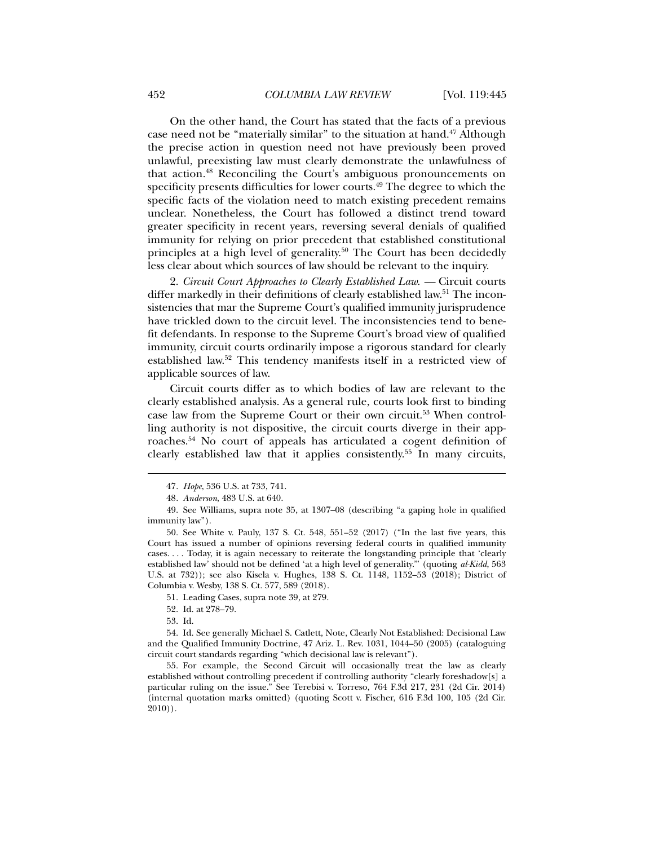On the other hand, the Court has stated that the facts of a previous case need not be "materially similar" to the situation at hand.<sup>47</sup> Although the precise action in question need not have previously been proved unlawful, preexisting law must clearly demonstrate the unlawfulness of that action.48 Reconciling the Court's ambiguous pronouncements on specificity presents difficulties for lower courts.<sup>49</sup> The degree to which the specific facts of the violation need to match existing precedent remains unclear. Nonetheless, the Court has followed a distinct trend toward greater specificity in recent years, reversing several denials of qualified immunity for relying on prior precedent that established constitutional principles at a high level of generality.<sup>50</sup> The Court has been decidedly less clear about which sources of law should be relevant to the inquiry.

2. *Circuit Court Approaches to Clearly Established Law.* — Circuit courts differ markedly in their definitions of clearly established law.<sup>51</sup> The inconsistencies that mar the Supreme Court's qualified immunity jurisprudence have trickled down to the circuit level. The inconsistencies tend to benefit defendants. In response to the Supreme Court's broad view of qualified immunity, circuit courts ordinarily impose a rigorous standard for clearly established law.52 This tendency manifests itself in a restricted view of applicable sources of law.

Circuit courts differ as to which bodies of law are relevant to the clearly established analysis. As a general rule, courts look first to binding case law from the Supreme Court or their own circuit.53 When controlling authority is not dispositive, the circuit courts diverge in their approaches.54 No court of appeals has articulated a cogent definition of clearly established law that it applies consistently.55 In many circuits,

- 51. Leading Cases, supra note 39, at 279.
- 52. Id. at 278–79.
- 53. Id.

<sup>47</sup>*. Hope*, 536 U.S. at 733, 741.

<sup>48</sup>*. Anderson*, 483 U.S. at 640.

 <sup>49.</sup> See Williams, supra note 35, at 1307–08 (describing "a gaping hole in qualified immunity law").

 <sup>50.</sup> See White v. Pauly, 137 S. Ct. 548, 551–52 (2017) ("In the last five years, this Court has issued a number of opinions reversing federal courts in qualified immunity cases. . . . Today, it is again necessary to reiterate the longstanding principle that 'clearly established law' should not be defined 'at a high level of generality.'" (quoting *al-Kidd*, 563 U.S. at 732)); see also Kisela v. Hughes, 138 S. Ct. 1148, 1152–53 (2018); District of Columbia v. Wesby, 138 S. Ct. 577, 589 (2018).

 <sup>54.</sup> Id. See generally Michael S. Catlett, Note, Clearly Not Established: Decisional Law and the Qualified Immunity Doctrine, 47 Ariz. L. Rev. 1031, 1044–50 (2005) (cataloguing circuit court standards regarding "which decisional law is relevant").

 <sup>55.</sup> For example, the Second Circuit will occasionally treat the law as clearly established without controlling precedent if controlling authority "clearly foreshadow[s] a particular ruling on the issue." See Terebisi v. Torreso, 764 F.3d 217, 231 (2d Cir. 2014) (internal quotation marks omitted) (quoting Scott v. Fischer, 616 F.3d 100, 105 (2d Cir. 2010)).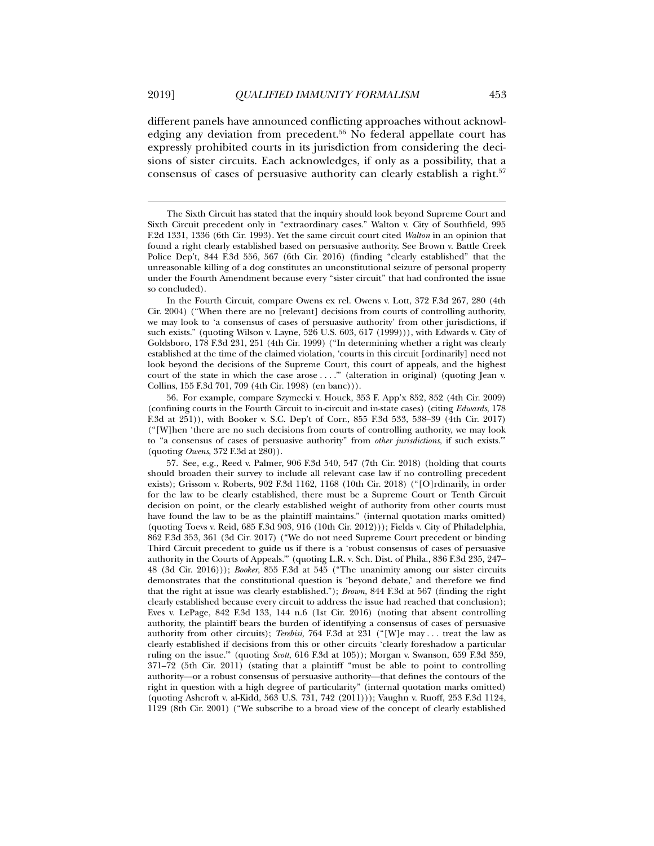l

different panels have announced conflicting approaches without acknowledging any deviation from precedent.<sup>56</sup> No federal appellate court has expressly prohibited courts in its jurisdiction from considering the decisions of sister circuits. Each acknowledges, if only as a possibility, that a consensus of cases of persuasive authority can clearly establish a right.<sup>57</sup>

In the Fourth Circuit, compare Owens ex rel. Owens v. Lott, 372 F.3d 267, 280 (4th Cir. 2004) ("When there are no [relevant] decisions from courts of controlling authority, we may look to 'a consensus of cases of persuasive authority' from other jurisdictions, if such exists." (quoting Wilson v. Layne, 526 U.S. 603, 617 (1999))), with Edwards v. City of Goldsboro, 178 F.3d 231, 251 (4th Cir. 1999) ("In determining whether a right was clearly established at the time of the claimed violation, 'courts in this circuit [ordinarily] need not look beyond the decisions of the Supreme Court, this court of appeals, and the highest court of the state in which the case arose . . . ."" (alteration in original) (quoting Jean v. Collins, 155 F.3d 701, 709 (4th Cir. 1998) (en banc))).

 56. For example, compare Szymecki v. Houck, 353 F. App'x 852, 852 (4th Cir. 2009) (confining courts in the Fourth Circuit to in-circuit and in-state cases) (citing *Edwards*, 178 F.3d at 251)), with Booker v. S.C. Dep't of Corr., 855 F.3d 533, 538–39 (4th Cir. 2017) ("[W]hen 'there are no such decisions from courts of controlling authority, we may look to "a consensus of cases of persuasive authority" from *other jurisdictions*, if such exists.'" (quoting *Owens*, 372 F.3d at 280)).

 57. See, e.g., Reed v. Palmer, 906 F.3d 540, 547 (7th Cir. 2018) (holding that courts should broaden their survey to include all relevant case law if no controlling precedent exists); Grissom v. Roberts, 902 F.3d 1162, 1168 (10th Cir. 2018) ("[O]rdinarily, in order for the law to be clearly established, there must be a Supreme Court or Tenth Circuit decision on point, or the clearly established weight of authority from other courts must have found the law to be as the plaintiff maintains." (internal quotation marks omitted) (quoting Toevs v. Reid, 685 F.3d 903, 916 (10th Cir. 2012))); Fields v. City of Philadelphia, 862 F.3d 353, 361 (3d Cir. 2017) ("We do not need Supreme Court precedent or binding Third Circuit precedent to guide us if there is a 'robust consensus of cases of persuasive authority in the Courts of Appeals.'" (quoting L.R. v. Sch. Dist. of Phila., 836 F.3d 235, 247– 48 (3d Cir. 2016))); *Booker*, 855 F.3d at 545 ("The unanimity among our sister circuits demonstrates that the constitutional question is 'beyond debate,' and therefore we find that the right at issue was clearly established."); *Brown*, 844 F.3d at 567 (finding the right clearly established because every circuit to address the issue had reached that conclusion); Eves v. LePage, 842 F.3d 133, 144 n.6 (1st Cir. 2016) (noting that absent controlling authority, the plaintiff bears the burden of identifying a consensus of cases of persuasive authority from other circuits); *Terebisi*, 764 F.3d at 231 ("[W]e may . . . treat the law as clearly established if decisions from this or other circuits 'clearly foreshadow a particular ruling on the issue.'" (quoting *Scott*, 616 F.3d at 105)); Morgan v. Swanson, 659 F.3d 359, 371–72 (5th Cir. 2011) (stating that a plaintiff "must be able to point to controlling authority—or a robust consensus of persuasive authority—that defines the contours of the right in question with a high degree of particularity" (internal quotation marks omitted) (quoting Ashcroft v. al-Kidd, 563 U.S. 731, 742 (2011))); Vaughn v. Ruoff, 253 F.3d 1124, 1129 (8th Cir. 2001) ("We subscribe to a broad view of the concept of clearly established

The Sixth Circuit has stated that the inquiry should look beyond Supreme Court and Sixth Circuit precedent only in "extraordinary cases." Walton v. City of Southfield*,* 995 F.2d 1331, 1336 (6th Cir. 1993). Yet the same circuit court cited *Walton* in an opinion that found a right clearly established based on persuasive authority. See Brown v. Battle Creek Police Dep't, 844 F.3d 556, 567 (6th Cir. 2016) (finding "clearly established" that the unreasonable killing of a dog constitutes an unconstitutional seizure of personal property under the Fourth Amendment because every "sister circuit" that had confronted the issue so concluded).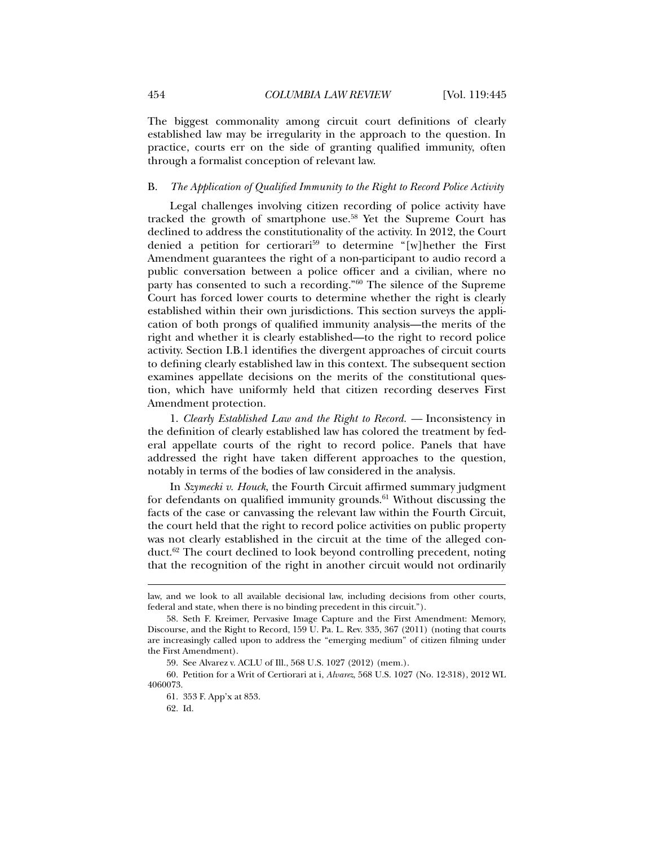The biggest commonality among circuit court definitions of clearly established law may be irregularity in the approach to the question. In practice, courts err on the side of granting qualified immunity, often through a formalist conception of relevant law.

## B. *The Application of Qualified Immunity to the Right to Record Police Activity*

Legal challenges involving citizen recording of police activity have tracked the growth of smartphone use.58 Yet the Supreme Court has declined to address the constitutionality of the activity. In 2012, the Court denied a petition for certiorari<sup>59</sup> to determine "[w]hether the First Amendment guarantees the right of a non-participant to audio record a public conversation between a police officer and a civilian, where no party has consented to such a recording."60 The silence of the Supreme Court has forced lower courts to determine whether the right is clearly established within their own jurisdictions. This section surveys the application of both prongs of qualified immunity analysis—the merits of the right and whether it is clearly established—to the right to record police activity. Section I.B.1 identifies the divergent approaches of circuit courts to defining clearly established law in this context. The subsequent section examines appellate decisions on the merits of the constitutional question, which have uniformly held that citizen recording deserves First Amendment protection.

1. *Clearly Established Law and the Right to Record. —* Inconsistency in the definition of clearly established law has colored the treatment by federal appellate courts of the right to record police. Panels that have addressed the right have taken different approaches to the question, notably in terms of the bodies of law considered in the analysis.

In *Szymecki v. Houck*, the Fourth Circuit affirmed summary judgment for defendants on qualified immunity grounds.<sup>61</sup> Without discussing the facts of the case or canvassing the relevant law within the Fourth Circuit, the court held that the right to record police activities on public property was not clearly established in the circuit at the time of the alleged conduct.62 The court declined to look beyond controlling precedent, noting that the recognition of the right in another circuit would not ordinarily

law, and we look to all available decisional law, including decisions from other courts, federal and state, when there is no binding precedent in this circuit.").

 <sup>58.</sup> Seth F. Kreimer, Pervasive Image Capture and the First Amendment: Memory, Discourse, and the Right to Record, 159 U. Pa. L. Rev. 335, 367 (2011) (noting that courts are increasingly called upon to address the "emerging medium" of citizen filming under the First Amendment).

 <sup>59.</sup> See Alvarez v. ACLU of Ill., 568 U.S. 1027 (2012) (mem.).

 <sup>60.</sup> Petition for a Writ of Certiorari at i, *Alvarez*, 568 U.S. 1027 (No. 12-318), 2012 WL 4060073.

 <sup>61. 353</sup> F. App'x at 853.

 <sup>62.</sup> Id.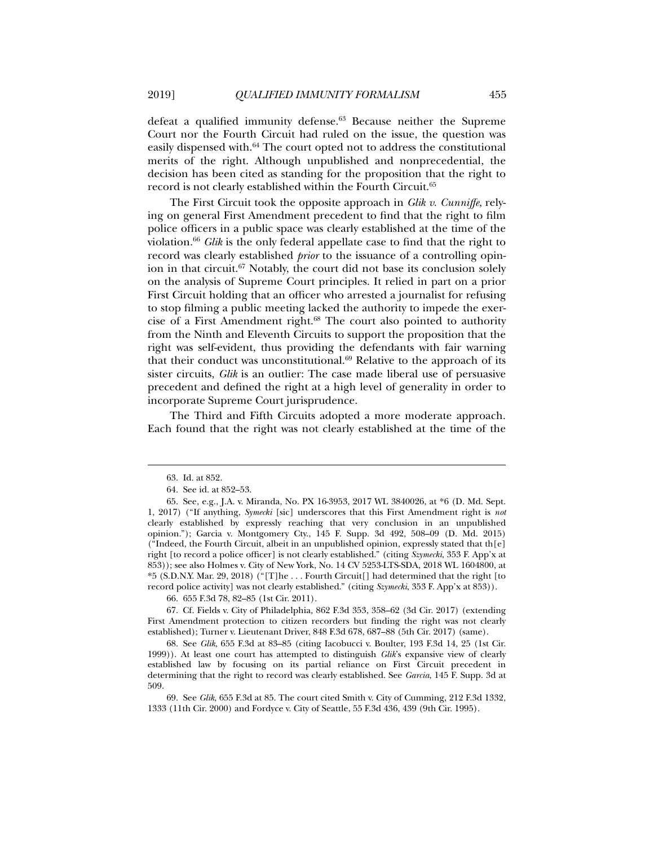defeat a qualified immunity defense.<sup>63</sup> Because neither the Supreme Court nor the Fourth Circuit had ruled on the issue, the question was easily dispensed with.<sup>64</sup> The court opted not to address the constitutional merits of the right. Although unpublished and nonprecedential, the decision has been cited as standing for the proposition that the right to record is not clearly established within the Fourth Circuit.65

The First Circuit took the opposite approach in *Glik v. Cunniffe*, relying on general First Amendment precedent to find that the right to film police officers in a public space was clearly established at the time of the violation.66 *Glik* is the only federal appellate case to find that the right to record was clearly established *prior* to the issuance of a controlling opinion in that circuit.67 Notably, the court did not base its conclusion solely on the analysis of Supreme Court principles. It relied in part on a prior First Circuit holding that an officer who arrested a journalist for refusing to stop filming a public meeting lacked the authority to impede the exercise of a First Amendment right.<sup>68</sup> The court also pointed to authority from the Ninth and Eleventh Circuits to support the proposition that the right was self-evident, thus providing the defendants with fair warning that their conduct was unconstitutional. $69$  Relative to the approach of its sister circuits, *Glik* is an outlier: The case made liberal use of persuasive precedent and defined the right at a high level of generality in order to incorporate Supreme Court jurisprudence.

The Third and Fifth Circuits adopted a more moderate approach. Each found that the right was not clearly established at the time of the

l

66. 655 F.3d 78, 82–85 (1st Cir. 2011).

 67. Cf. Fields v. City of Philadelphia*,* 862 F.3d 353, 358–62 (3d Cir. 2017) (extending First Amendment protection to citizen recorders but finding the right was not clearly established); Turner v. Lieutenant Driver, 848 F.3d 678, 687–88 (5th Cir. 2017) (same).

 68. See *Glik*, 655 F.3d at 83–85 (citing Iacobucci v. Boulter, 193 F.3d 14, 25 (1st Cir. 1999)). At least one court has attempted to distinguish *Glik*'s expansive view of clearly established law by focusing on its partial reliance on First Circuit precedent in determining that the right to record was clearly established. See *Garcia*, 145 F. Supp. 3d at 509.

 69. See *Glik*, 655 F.3d at 85. The court cited Smith v. City of Cumming, 212 F.3d 1332, 1333 (11th Cir. 2000) and Fordyce v. City of Seattle, 55 F.3d 436, 439 (9th Cir. 1995).

 <sup>63.</sup> Id. at 852.

 <sup>64.</sup> See id. at 852–53.

 <sup>65.</sup> See, e.g., J.A. v. Miranda, No. PX 16-3953, 2017 WL 3840026, at \*6 (D. Md. Sept. 1, 2017) ("If anything, *Symecki* [sic] underscores that this First Amendment right is *not* clearly established by expressly reaching that very conclusion in an unpublished opinion."); Garcia v. Montgomery Cty., 145 F. Supp. 3d 492, 508–09 (D. Md. 2015) ("Indeed, the Fourth Circuit, albeit in an unpublished opinion, expressly stated that th $[e]$ right [to record a police officer] is not clearly established." (citing *Szymecki*, 353 F. App'x at 853)); see also Holmes v. City of New York, No. 14 CV 5253-LTS-SDA, 2018 WL 1604800, at \*5 (S.D.N.Y. Mar. 29, 2018) ("[T]he . . . Fourth Circuit[] had determined that the right [to record police activity] was not clearly established." (citing *Szymecki*, 353 F. App'x at 853)).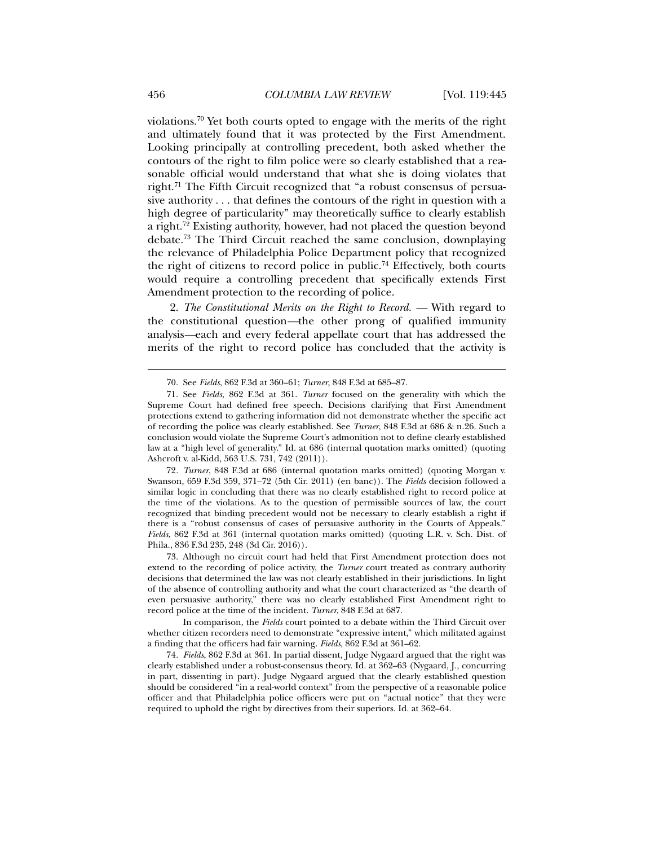violations.<sup>70</sup> Yet both courts opted to engage with the merits of the right and ultimately found that it was protected by the First Amendment. Looking principally at controlling precedent, both asked whether the contours of the right to film police were so clearly established that a reasonable official would understand that what she is doing violates that right.71 The Fifth Circuit recognized that "a robust consensus of persuasive authority . . . that defines the contours of the right in question with a high degree of particularity" may theoretically suffice to clearly establish a right.72 Existing authority, however, had not placed the question beyond debate.73 The Third Circuit reached the same conclusion, downplaying the relevance of Philadelphia Police Department policy that recognized the right of citizens to record police in public.<sup>74</sup> Effectively, both courts would require a controlling precedent that specifically extends First Amendment protection to the recording of police.

2. *The Constitutional Merits on the Right to Record. —* With regard to the constitutional question*—*the other prong of qualified immunity analysis*—*each and every federal appellate court that has addressed the merits of the right to record police has concluded that the activity is

72*. Turner*, 848 F.3d at 686 (internal quotation marks omitted) (quoting Morgan v. Swanson, 659 F.3d 359, 371–72 (5th Cir. 2011) (en banc)). The *Fields* decision followed a similar logic in concluding that there was no clearly established right to record police at the time of the violations. As to the question of permissible sources of law, the court recognized that binding precedent would not be necessary to clearly establish a right if there is a "robust consensus of cases of persuasive authority in the Courts of Appeals." *Fields*, 862 F.3d at 361 (internal quotation marks omitted) (quoting L.R. v. Sch. Dist. of Phila., 836 F.3d 235, 248 (3d Cir. 2016)).

 73. Although no circuit court had held that First Amendment protection does not extend to the recording of police activity, the *Turner* court treated as contrary authority decisions that determined the law was not clearly established in their jurisdictions. In light of the absence of controlling authority and what the court characterized as "the dearth of even persuasive authority," there was no clearly established First Amendment right to record police at the time of the incident. *Turner*, 848 F.3d at 687.

 In comparison, the *Fields* court pointed to a debate within the Third Circuit over whether citizen recorders need to demonstrate "expressive intent," which militated against a finding that the officers had fair warning. *Fields*, 862 F.3d at 361–62.

74*. Fields*, 862 F.3d at 361. In partial dissent, Judge Nygaard argued that the right was clearly established under a robust-consensus theory. Id. at 362–63 (Nygaard, J., concurring in part, dissenting in part). Judge Nygaard argued that the clearly established question should be considered "in a real-world context" from the perspective of a reasonable police officer and that Philadelphia police officers were put on "actual notice" that they were required to uphold the right by directives from their superiors. Id. at 362–64.

 <sup>70.</sup> See *Fields*, 862 F.3d at 360–61; *Turner*, 848 F.3d at 685–87.

 <sup>71.</sup> See *Fields*, 862 F.3d at 361. *Turner* focused on the generality with which the Supreme Court had defined free speech. Decisions clarifying that First Amendment protections extend to gathering information did not demonstrate whether the specific act of recording the police was clearly established. See *Turner*, 848 F.3d at 686 & n.26. Such a conclusion would violate the Supreme Court's admonition not to define clearly established law at a "high level of generality." Id. at 686 (internal quotation marks omitted) (quoting Ashcroft v. al-Kidd, 563 U.S. 731, 742 (2011)).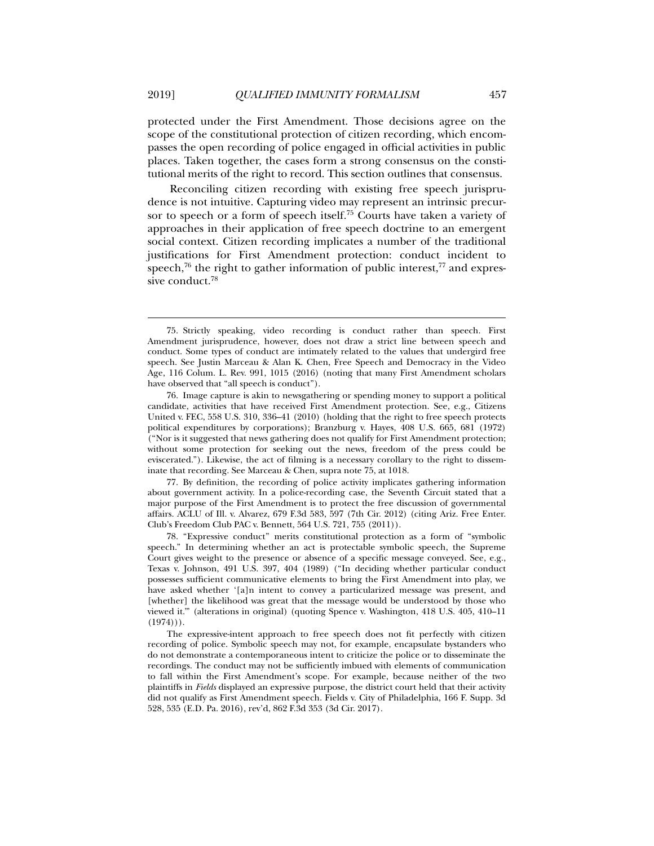protected under the First Amendment. Those decisions agree on the scope of the constitutional protection of citizen recording, which encompasses the open recording of police engaged in official activities in public places. Taken together, the cases form a strong consensus on the constitutional merits of the right to record. This section outlines that consensus.

Reconciling citizen recording with existing free speech jurisprudence is not intuitive. Capturing video may represent an intrinsic precursor to speech or a form of speech itself.<sup>75</sup> Courts have taken a variety of approaches in their application of free speech doctrine to an emergent social context. Citizen recording implicates a number of the traditional justifications for First Amendment protection: conduct incident to speech, $76$  the right to gather information of public interest, $77$  and expressive conduct.<sup>78</sup>

 77. By definition, the recording of police activity implicates gathering information about government activity. In a police-recording case, the Seventh Circuit stated that a major purpose of the First Amendment is to protect the free discussion of governmental affairs. ACLU of Ill. v. Alvarez, 679 F.3d 583, 597 (7th Cir. 2012) (citing Ariz. Free Enter. Club's Freedom Club PAC v. Bennett, 564 U.S. 721, 755 (2011)).

 78. "Expressive conduct" merits constitutional protection as a form of "symbolic speech." In determining whether an act is protectable symbolic speech, the Supreme Court gives weight to the presence or absence of a specific message conveyed. See, e.g., Texas v. Johnson, 491 U.S. 397, 404 (1989) ("In deciding whether particular conduct possesses sufficient communicative elements to bring the First Amendment into play, we have asked whether '[a]n intent to convey a particularized message was present, and [whether] the likelihood was great that the message would be understood by those who viewed it.'" (alterations in original) (quoting Spence v. Washington, 418 U.S. 405, 410–11  $(1974))$ .

The expressive-intent approach to free speech does not fit perfectly with citizen recording of police. Symbolic speech may not, for example, encapsulate bystanders who do not demonstrate a contemporaneous intent to criticize the police or to disseminate the recordings. The conduct may not be sufficiently imbued with elements of communication to fall within the First Amendment's scope. For example, because neither of the two plaintiffs in *Fields* displayed an expressive purpose, the district court held that their activity did not qualify as First Amendment speech. Fields v. City of Philadelphia, 166 F. Supp. 3d 528, 535 (E.D. Pa. 2016), rev'd, 862 F.3d 353 (3d Cir. 2017).

 <sup>75.</sup> Strictly speaking, video recording is conduct rather than speech. First Amendment jurisprudence, however, does not draw a strict line between speech and conduct. Some types of conduct are intimately related to the values that undergird free speech. See Justin Marceau & Alan K. Chen, Free Speech and Democracy in the Video Age, 116 Colum. L. Rev. 991, 1015 (2016) (noting that many First Amendment scholars have observed that "all speech is conduct").

 <sup>76.</sup> Image capture is akin to newsgathering or spending money to support a political candidate, activities that have received First Amendment protection. See, e.g., Citizens United v. FEC, 558 U.S. 310, 336–41 (2010) (holding that the right to free speech protects political expenditures by corporations); Branzburg v. Hayes, 408 U.S. 665, 681 (1972) ("Nor is it suggested that news gathering does not qualify for First Amendment protection; without some protection for seeking out the news, freedom of the press could be eviscerated."). Likewise, the act of filming is a necessary corollary to the right to disseminate that recording. See Marceau & Chen, supra note 75, at 1018.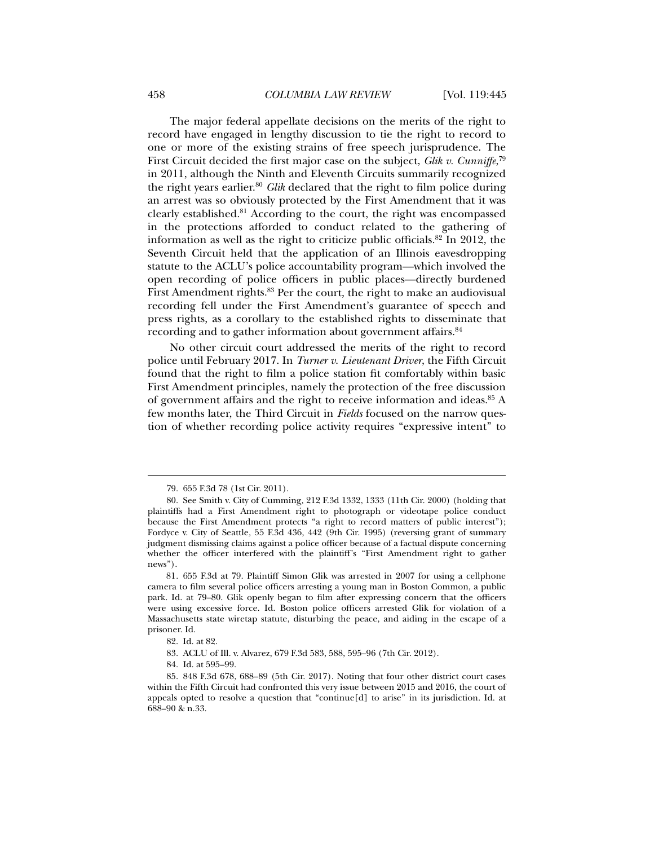The major federal appellate decisions on the merits of the right to record have engaged in lengthy discussion to tie the right to record to one or more of the existing strains of free speech jurisprudence. The First Circuit decided the first major case on the subject, *Glik v. Cunniffe*, 79 in 2011, although the Ninth and Eleventh Circuits summarily recognized the right years earlier.<sup>80</sup> *Glik* declared that the right to film police during an arrest was so obviously protected by the First Amendment that it was clearly established.81 According to the court, the right was encompassed in the protections afforded to conduct related to the gathering of information as well as the right to criticize public officials. $82 \text{ In } 2012$ , the Seventh Circuit held that the application of an Illinois eavesdropping statute to the ACLU's police accountability program—which involved the open recording of police officers in public places—directly burdened First Amendment rights.<sup>83</sup> Per the court, the right to make an audiovisual recording fell under the First Amendment's guarantee of speech and press rights, as a corollary to the established rights to disseminate that recording and to gather information about government affairs.<sup>84</sup>

No other circuit court addressed the merits of the right to record police until February 2017. In *Turner v. Lieutenant Driver*, the Fifth Circuit found that the right to film a police station fit comfortably within basic First Amendment principles, namely the protection of the free discussion of government affairs and the right to receive information and ideas.<sup>85</sup> A few months later, the Third Circuit in *Fields* focused on the narrow question of whether recording police activity requires "expressive intent" to

 <sup>79. 655</sup> F.3d 78 (1st Cir. 2011).

 <sup>80.</sup> See Smith v. City of Cumming*,* 212 F.3d 1332, 1333 (11th Cir. 2000) (holding that plaintiffs had a First Amendment right to photograph or videotape police conduct because the First Amendment protects "a right to record matters of public interest"); Fordyce v. City of Seattle*,* 55 F.3d 436, 442 (9th Cir. 1995) (reversing grant of summary judgment dismissing claims against a police officer because of a factual dispute concerning whether the officer interfered with the plaintiff's "First Amendment right to gather news").

<sup>81</sup>*.* 655 F.3d at 79. Plaintiff Simon Glik was arrested in 2007 for using a cellphone camera to film several police officers arresting a young man in Boston Common, a public park. Id. at 79–80. Glik openly began to film after expressing concern that the officers were using excessive force. Id. Boston police officers arrested Glik for violation of a Massachusetts state wiretap statute, disturbing the peace, and aiding in the escape of a prisoner. Id.

 <sup>82.</sup> Id. at 82.

 <sup>83.</sup> ACLU of Ill. v. Alvarez, 679 F.3d 583, 588, 595–96 (7th Cir. 2012).

 <sup>84.</sup> Id. at 595–99.

 <sup>85. 848</sup> F.3d 678, 688–89 (5th Cir. 2017). Noting that four other district court cases within the Fifth Circuit had confronted this very issue between 2015 and 2016, the court of appeals opted to resolve a question that "continue[d] to arise" in its jurisdiction. Id. at 688–90 & n.33.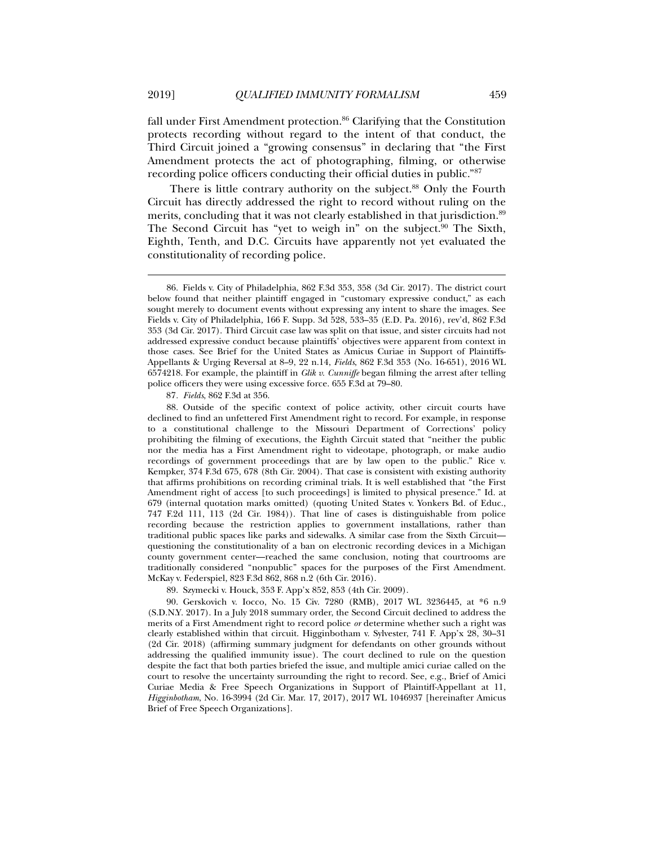fall under First Amendment protection.<sup>86</sup> Clarifying that the Constitution protects recording without regard to the intent of that conduct, the Third Circuit joined a "growing consensus" in declaring that "the First Amendment protects the act of photographing, filming, or otherwise recording police officers conducting their official duties in public."87

There is little contrary authority on the subject.<sup>88</sup> Only the Fourth Circuit has directly addressed the right to record without ruling on the merits, concluding that it was not clearly established in that jurisdiction.<sup>89</sup> The Second Circuit has "yet to weigh in" on the subject.<sup>90</sup> The Sixth, Eighth, Tenth, and D.C. Circuits have apparently not yet evaluated the constitutionality of recording police.

87*. Fields*, 862 F.3d at 356.

 88. Outside of the specific context of police activity, other circuit courts have declined to find an unfettered First Amendment right to record. For example, in response to a constitutional challenge to the Missouri Department of Corrections' policy prohibiting the filming of executions, the Eighth Circuit stated that "neither the public nor the media has a First Amendment right to videotape, photograph, or make audio recordings of government proceedings that are by law open to the public." Rice v. Kempker, 374 F.3d 675, 678 (8th Cir. 2004). That case is consistent with existing authority that affirms prohibitions on recording criminal trials. It is well established that "the First Amendment right of access [to such proceedings] is limited to physical presence." Id. at 679 (internal quotation marks omitted) (quoting United States v. Yonkers Bd. of Educ., 747 F.2d 111, 113 (2d Cir. 1984)). That line of cases is distinguishable from police recording because the restriction applies to government installations, rather than traditional public spaces like parks and sidewalks. A similar case from the Sixth Circuit questioning the constitutionality of a ban on electronic recording devices in a Michigan county government center—reached the same conclusion, noting that courtrooms are traditionally considered "nonpublic" spaces for the purposes of the First Amendment. McKay v. Federspiel, 823 F.3d 862, 868 n.2 (6th Cir. 2016).

89. Szymecki v. Houck, 353 F. App'x 852, 853 (4th Cir. 2009).

 90. Gerskovich v. Iocco, No. 15 Civ. 7280 (RMB), 2017 WL 3236445, at \*6 n.9 (S.D.N.Y. 2017). In a July 2018 summary order, the Second Circuit declined to address the merits of a First Amendment right to record police *or* determine whether such a right was clearly established within that circuit. Higginbotham v. Sylvester, 741 F. App'x 28, 30–31 (2d Cir. 2018) (affirming summary judgment for defendants on other grounds without addressing the qualified immunity issue). The court declined to rule on the question despite the fact that both parties briefed the issue, and multiple amici curiae called on the court to resolve the uncertainty surrounding the right to record. See, e.g., Brief of Amici Curiae Media & Free Speech Organizations in Support of Plaintiff-Appellant at 11, *Higginbotham*, No. 16-3994 (2d Cir. Mar. 17, 2017), 2017 WL 1046937 [hereinafter Amicus Brief of Free Speech Organizations].

 <sup>86.</sup> Fields v. City of Philadelphia, 862 F.3d 353, 358 (3d Cir. 2017). The district court below found that neither plaintiff engaged in "customary expressive conduct," as each sought merely to document events without expressing any intent to share the images. See Fields v. City of Philadelphia*,* 166 F. Supp. 3d 528, 533–35 (E.D. Pa. 2016), rev'd, 862 F.3d 353 (3d Cir. 2017). Third Circuit case law was split on that issue, and sister circuits had not addressed expressive conduct because plaintiffs' objectives were apparent from context in those cases. See Brief for the United States as Amicus Curiae in Support of Plaintiffs-Appellants & Urging Reversal at 8–9, 22 n.14, *Fields*, 862 F.3d 353 (No. 16-651), 2016 WL 6574218. For example, the plaintiff in *Glik v. Cunniffe* began filming the arrest after telling police officers they were using excessive force. 655 F.3d at 79–80.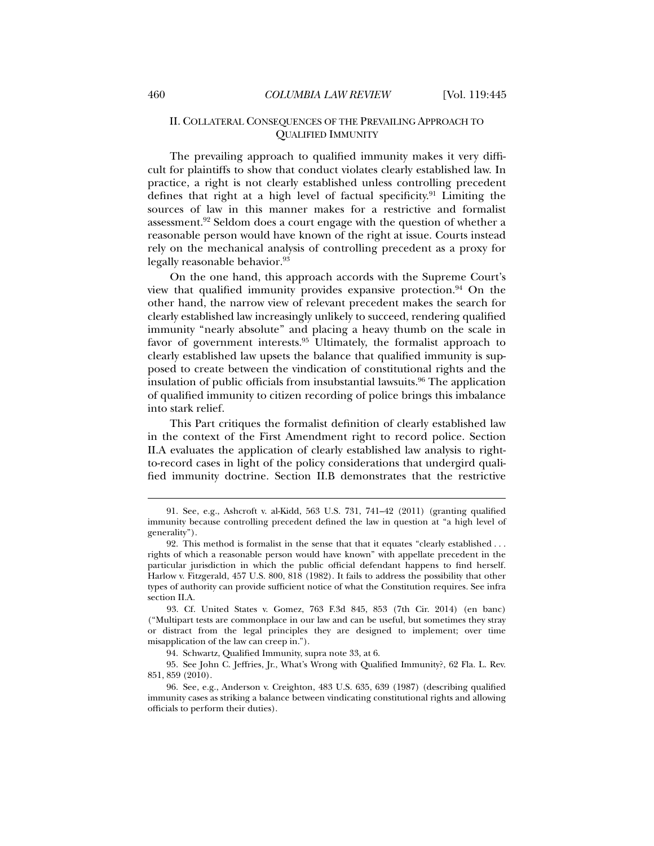## II. COLLATERAL CONSEQUENCES OF THE PREVAILING APPROACH TO QUALIFIED IMMUNITY

The prevailing approach to qualified immunity makes it very difficult for plaintiffs to show that conduct violates clearly established law. In practice, a right is not clearly established unless controlling precedent defines that right at a high level of factual specificity.91 Limiting the sources of law in this manner makes for a restrictive and formalist assessment.92 Seldom does a court engage with the question of whether a reasonable person would have known of the right at issue. Courts instead rely on the mechanical analysis of controlling precedent as a proxy for legally reasonable behavior.<sup>93</sup>

On the one hand, this approach accords with the Supreme Court's view that qualified immunity provides expansive protection.<sup>94</sup> On the other hand, the narrow view of relevant precedent makes the search for clearly established law increasingly unlikely to succeed, rendering qualified immunity "nearly absolute" and placing a heavy thumb on the scale in favor of government interests.<sup>95</sup> Ultimately, the formalist approach to clearly established law upsets the balance that qualified immunity is supposed to create between the vindication of constitutional rights and the insulation of public officials from insubstantial lawsuits.<sup>96</sup> The application of qualified immunity to citizen recording of police brings this imbalance into stark relief.

This Part critiques the formalist definition of clearly established law in the context of the First Amendment right to record police. Section II.A evaluates the application of clearly established law analysis to rightto-record cases in light of the policy considerations that undergird qualified immunity doctrine. Section II.B demonstrates that the restrictive

 <sup>91.</sup> See, e.g., Ashcroft v. al-Kidd, 563 U.S. 731, 741–42 (2011) (granting qualified immunity because controlling precedent defined the law in question at "a high level of generality").

 <sup>92.</sup> This method is formalist in the sense that that it equates "clearly established . . . rights of which a reasonable person would have known" with appellate precedent in the particular jurisdiction in which the public official defendant happens to find herself. Harlow v. Fitzgerald, 457 U.S. 800, 818 (1982). It fails to address the possibility that other types of authority can provide sufficient notice of what the Constitution requires. See infra section II.A.

 <sup>93.</sup> Cf. United States v. Gomez, 763 F.3d 845, 853 (7th Cir. 2014) (en banc) ("Multipart tests are commonplace in our law and can be useful, but sometimes they stray or distract from the legal principles they are designed to implement; over time misapplication of the law can creep in.").

 <sup>94.</sup> Schwartz, Qualified Immunity, supra note 33, at 6.

 <sup>95.</sup> See John C. Jeffries, Jr., What's Wrong with Qualified Immunity?, 62 Fla. L. Rev. 851, 859 (2010).

 <sup>96.</sup> See, e.g., Anderson v. Creighton, 483 U.S. 635, 639 (1987) (describing qualified immunity cases as striking a balance between vindicating constitutional rights and allowing officials to perform their duties).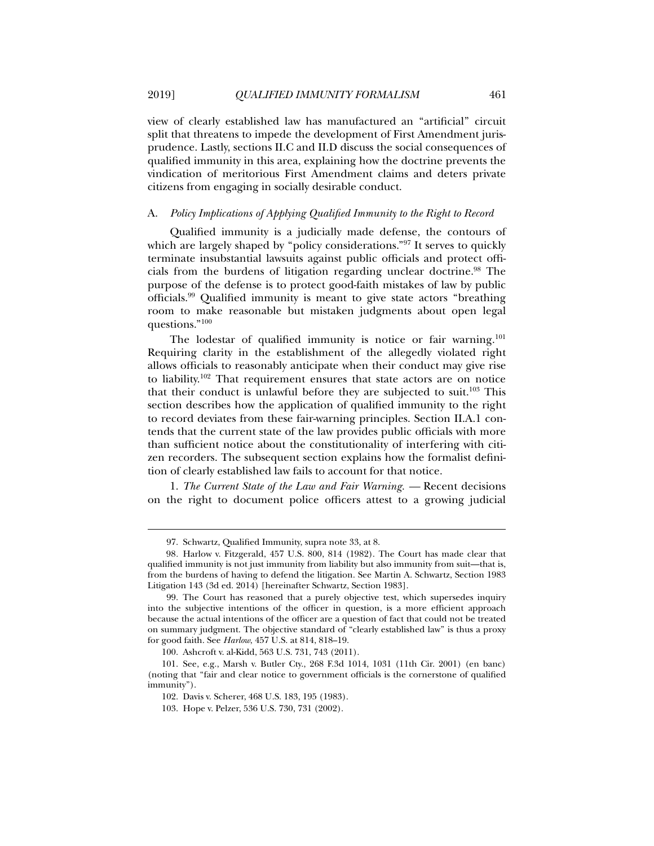view of clearly established law has manufactured an "artificial" circuit split that threatens to impede the development of First Amendment jurisprudence. Lastly, sections II.C and II.D discuss the social consequences of qualified immunity in this area, explaining how the doctrine prevents the vindication of meritorious First Amendment claims and deters private citizens from engaging in socially desirable conduct.

#### A. *Policy Implications of Applying Qualified Immunity to the Right to Record*

Qualified immunity is a judicially made defense, the contours of which are largely shaped by "policy considerations."<sup>97</sup> It serves to quickly terminate insubstantial lawsuits against public officials and protect officials from the burdens of litigation regarding unclear doctrine.98 The purpose of the defense is to protect good-faith mistakes of law by public officials.99 Qualified immunity is meant to give state actors "breathing room to make reasonable but mistaken judgments about open legal questions."100

The lodestar of qualified immunity is notice or fair warning.<sup>101</sup> Requiring clarity in the establishment of the allegedly violated right allows officials to reasonably anticipate when their conduct may give rise to liability.102 That requirement ensures that state actors are on notice that their conduct is unlawful before they are subjected to suit.<sup>103</sup> This section describes how the application of qualified immunity to the right to record deviates from these fair-warning principles. Section II.A.1 contends that the current state of the law provides public officials with more than sufficient notice about the constitutionality of interfering with citizen recorders. The subsequent section explains how the formalist definition of clearly established law fails to account for that notice.

1. *The Current State of the Law and Fair Warning. —* Recent decisions on the right to document police officers attest to a growing judicial

 <sup>97.</sup> Schwartz, Qualified Immunity, supra note 33, at 8.

<sup>98</sup>*.* Harlow v. Fitzgerald, 457 U.S. 800, 814 (1982). The Court has made clear that qualified immunity is not just immunity from liability but also immunity from suit—that is, from the burdens of having to defend the litigation. See Martin A. Schwartz, Section 1983 Litigation 143 (3d ed. 2014) [hereinafter Schwartz, Section 1983].

 <sup>99.</sup> The Court has reasoned that a purely objective test, which supersedes inquiry into the subjective intentions of the officer in question, is a more efficient approach because the actual intentions of the officer are a question of fact that could not be treated on summary judgment. The objective standard of "clearly established law" is thus a proxy for good faith. See *Harlow*, 457 U.S. at 814, 818–19.

 <sup>100.</sup> Ashcroft v. al-Kidd, 563 U.S. 731, 743 (2011).

 <sup>101.</sup> See, e.g., Marsh v. Butler Cty., 268 F.3d 1014, 1031 (11th Cir. 2001) (en banc) (noting that "fair and clear notice to government officials is the cornerstone of qualified immunity").

 <sup>102.</sup> Davis v. Scherer, 468 U.S. 183, 195 (1983).

 <sup>103.</sup> Hope v. Pelzer, 536 U.S. 730, 731 (2002).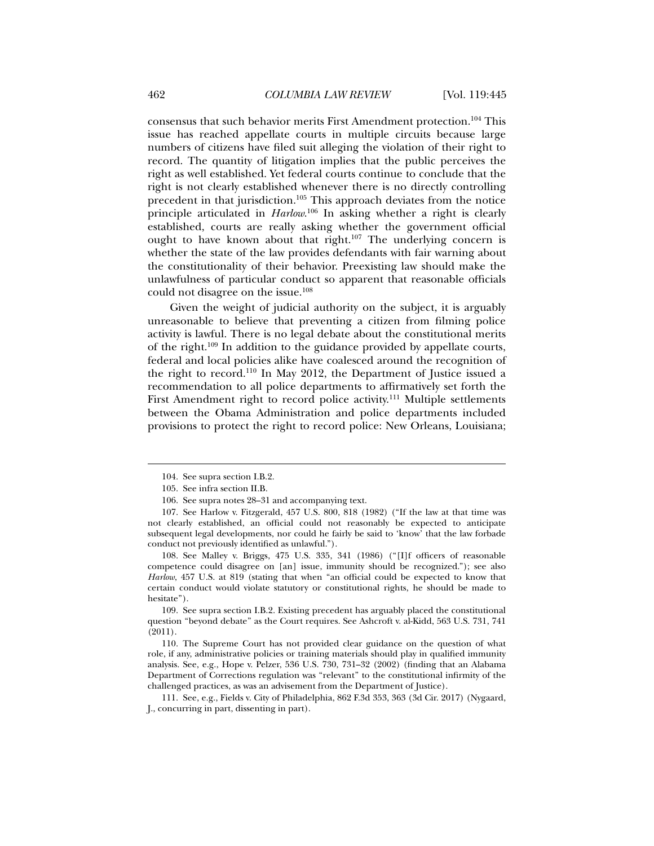consensus that such behavior merits First Amendment protection.<sup>104</sup> This issue has reached appellate courts in multiple circuits because large numbers of citizens have filed suit alleging the violation of their right to record. The quantity of litigation implies that the public perceives the right as well established. Yet federal courts continue to conclude that the right is not clearly established whenever there is no directly controlling precedent in that jurisdiction.<sup>105</sup> This approach deviates from the notice principle articulated in *Harlow*. <sup>106</sup> In asking whether a right is clearly established, courts are really asking whether the government official ought to have known about that right.<sup>107</sup> The underlying concern is whether the state of the law provides defendants with fair warning about the constitutionality of their behavior. Preexisting law should make the unlawfulness of particular conduct so apparent that reasonable officials could not disagree on the issue.<sup>108</sup>

Given the weight of judicial authority on the subject, it is arguably unreasonable to believe that preventing a citizen from filming police activity is lawful. There is no legal debate about the constitutional merits of the right.109 In addition to the guidance provided by appellate courts, federal and local policies alike have coalesced around the recognition of the right to record.110 In May 2012, the Department of Justice issued a recommendation to all police departments to affirmatively set forth the First Amendment right to record police activity.<sup>111</sup> Multiple settlements between the Obama Administration and police departments included provisions to protect the right to record police: New Orleans, Louisiana;

l

 108. See Malley v. Briggs, 475 U.S. 335, 341 (1986) ("[I]f officers of reasonable competence could disagree on [an] issue, immunity should be recognized."); see also *Harlow*, 457 U.S. at 819 (stating that when "an official could be expected to know that certain conduct would violate statutory or constitutional rights, he should be made to hesitate").

 109. See supra section I.B.2. Existing precedent has arguably placed the constitutional question "beyond debate" as the Court requires. See Ashcroft v. al-Kidd, 563 U.S. 731, 741 (2011).

 110. The Supreme Court has not provided clear guidance on the question of what role, if any, administrative policies or training materials should play in qualified immunity analysis. See, e.g., Hope v. Pelzer, 536 U.S. 730, 731–32 (2002) (finding that an Alabama Department of Corrections regulation was "relevant" to the constitutional infirmity of the challenged practices, as was an advisement from the Department of Justice).

 111. See, e.g., Fields v. City of Philadelphia, 862 F.3d 353, 363 (3d Cir. 2017) (Nygaard, J., concurring in part, dissenting in part).

 <sup>104.</sup> See supra section I.B.2.

 <sup>105.</sup> See infra section II.B.

 <sup>106.</sup> See supra notes 28–31 and accompanying text.

 <sup>107.</sup> See Harlow v. Fitzgerald, 457 U.S. 800, 818 (1982) ("If the law at that time was not clearly established, an official could not reasonably be expected to anticipate subsequent legal developments, nor could he fairly be said to 'know' that the law forbade conduct not previously identified as unlawful.").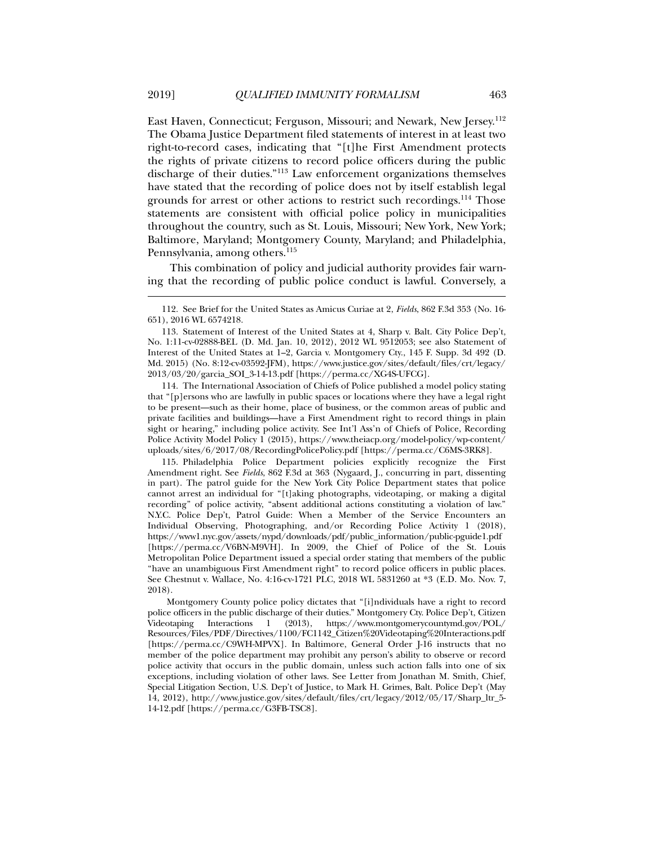East Haven, Connecticut; Ferguson, Missouri; and Newark, New Jersey.112 The Obama Justice Department filed statements of interest in at least two right-to-record cases, indicating that "[t]he First Amendment protects the rights of private citizens to record police officers during the public discharge of their duties."113 Law enforcement organizations themselves have stated that the recording of police does not by itself establish legal grounds for arrest or other actions to restrict such recordings.114 Those statements are consistent with official police policy in municipalities throughout the country, such as St. Louis, Missouri; New York, New York; Baltimore, Maryland; Montgomery County, Maryland; and Philadelphia, Pennsylvania, among others.<sup>115</sup>

This combination of policy and judicial authority provides fair warning that the recording of public police conduct is lawful. Conversely, a

 114. The International Association of Chiefs of Police published a model policy stating that "[p]ersons who are lawfully in public spaces or locations where they have a legal right to be present—such as their home, place of business, or the common areas of public and private facilities and buildings—have a First Amendment right to record things in plain sight or hearing," including police activity. See Int'l Ass'n of Chiefs of Police, Recording Police Activity Model Policy 1 (2015), https://www.theiacp.org/model-policy/wp-content/ uploads/sites/6/2017/08/RecordingPolicePolicy.pdf [https://perma.cc/C6MS-3RK8].

 115. Philadelphia Police Department policies explicitly recognize the First Amendment right. See *Fields*, 862 F.3d at 363 (Nygaard, J., concurring in part, dissenting in part). The patrol guide for the New York City Police Department states that police cannot arrest an individual for "[t]aking photographs, videotaping, or making a digital recording" of police activity, "absent additional actions constituting a violation of law." N.Y.C. Police Dep't, Patrol Guide: When a Member of the Service Encounters an Individual Observing, Photographing, and/or Recording Police Activity 1 (2018), https://www1.nyc.gov/assets/nypd/downloads/pdf/public\_information/public-pguide1.pdf [https://perma.cc/V6BN-M9VH]. In 2009, the Chief of Police of the St. Louis Metropolitan Police Department issued a special order stating that members of the public "have an unambiguous First Amendment right" to record police officers in public places. See Chestnut v. Wallace*,* No. 4:16-cv-1721 PLC, 2018 WL 5831260 at \*3 (E.D. Mo. Nov. 7, 2018).

 Montgomery County police policy dictates that "[i]ndividuals have a right to record police officers in the public discharge of their duties." Montgomery Cty. Police Dep't, Citizen Videotaping Interactions 1 (2013), https://www.montgomerycountymd.gov/POL/ Resources/Files/PDF/Directives/1100/FC1142\_Citizen%20Videotaping%20Interactions.pdf [https://perma.cc/C9WH-MPVX]. In Baltimore, General Order J-16 instructs that no member of the police department may prohibit any person's ability to observe or record police activity that occurs in the public domain, unless such action falls into one of six exceptions, including violation of other laws. See Letter from Jonathan M. Smith, Chief, Special Litigation Section, U.S. Dep't of Justice, to Mark H. Grimes, Balt. Police Dep't (May 14, 2012), http://www.justice.gov/sites/default/files/crt/legacy/2012/05/17/Sharp\_ltr\_5- 14-12.pdf [https://perma.cc/G3FB-TSC8].

 <sup>112.</sup> See Brief for the United States as Amicus Curiae at 2, *Fields*, 862 F.3d 353 (No. 16- 651), 2016 WL 6574218.

 <sup>113.</sup> Statement of Interest of the United States at 4, Sharp v. Balt. City Police Dep't, No. 1:11-cv-02888-BEL (D. Md. Jan. 10, 2012), 2012 WL 9512053; see also Statement of Interest of the United States at 1–2, Garcia v. Montgomery Cty., 145 F. Supp. 3d 492 (D. Md. 2015) (No. 8:12-cv-03592-JFM), https://www.justice.gov/sites/default/files/crt/legacy/ 2013/03/20/garcia\_SOI\_3-14-13.pdf [https://perma.cc/XG4S-UFCG].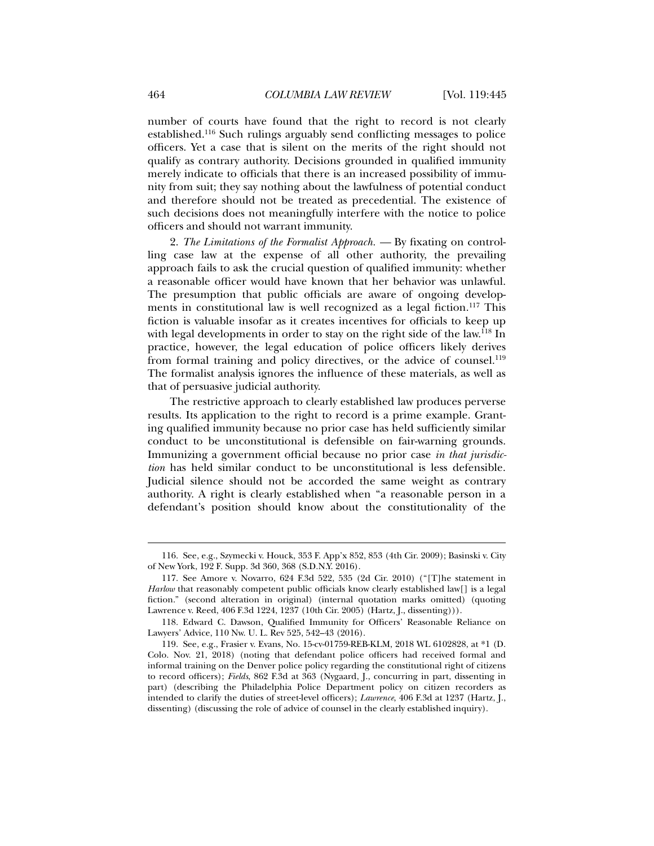number of courts have found that the right to record is not clearly established.116 Such rulings arguably send conflicting messages to police officers. Yet a case that is silent on the merits of the right should not qualify as contrary authority. Decisions grounded in qualified immunity merely indicate to officials that there is an increased possibility of immunity from suit; they say nothing about the lawfulness of potential conduct and therefore should not be treated as precedential. The existence of such decisions does not meaningfully interfere with the notice to police officers and should not warrant immunity.

2. *The Limitations of the Formalist Approach. —* By fixating on controlling case law at the expense of all other authority, the prevailing approach fails to ask the crucial question of qualified immunity: whether a reasonable officer would have known that her behavior was unlawful. The presumption that public officials are aware of ongoing developments in constitutional law is well recognized as a legal fiction.<sup>117</sup> This fiction is valuable insofar as it creates incentives for officials to keep up with legal developments in order to stay on the right side of the law.<sup>118</sup> In practice, however, the legal education of police officers likely derives from formal training and policy directives, or the advice of counsel.<sup>119</sup> The formalist analysis ignores the influence of these materials, as well as that of persuasive judicial authority.

The restrictive approach to clearly established law produces perverse results. Its application to the right to record is a prime example. Granting qualified immunity because no prior case has held sufficiently similar conduct to be unconstitutional is defensible on fair-warning grounds. Immunizing a government official because no prior case *in that jurisdiction* has held similar conduct to be unconstitutional is less defensible. Judicial silence should not be accorded the same weight as contrary authority. A right is clearly established when "a reasonable person in a defendant's position should know about the constitutionality of the

 <sup>116.</sup> See, e.g., Szymecki v. Houck, 353 F. App'x 852, 853 (4th Cir. 2009); Basinski v. City of New York, 192 F. Supp. 3d 360, 368 (S.D.N.Y. 2016).

 <sup>117.</sup> See Amore v. Novarro, 624 F.3d 522, 535 (2d Cir. 2010) ("[T]he statement in *Harlow* that reasonably competent public officials know clearly established law[] is a legal fiction." (second alteration in original) (internal quotation marks omitted) (quoting Lawrence v. Reed, 406 F.3d 1224, 1237 (10th Cir. 2005) (Hartz, J., dissenting))).

 <sup>118.</sup> Edward C. Dawson, Qualified Immunity for Officers' Reasonable Reliance on Lawyers' Advice, 110 Nw. U. L. Rev 525, 542–43 (2016).

 <sup>119.</sup> See, e.g., Frasier v. Evans, No. 15-cv-01759-REB-KLM, 2018 WL 6102828, at \*1 (D. Colo. Nov. 21, 2018) (noting that defendant police officers had received formal and informal training on the Denver police policy regarding the constitutional right of citizens to record officers); *Fields*, 862 F.3d at 363 (Nygaard, J., concurring in part, dissenting in part) (describing the Philadelphia Police Department policy on citizen recorders as intended to clarify the duties of street-level officers); *Lawrence*, 406 F.3d at 1237 (Hartz, J., dissenting) (discussing the role of advice of counsel in the clearly established inquiry).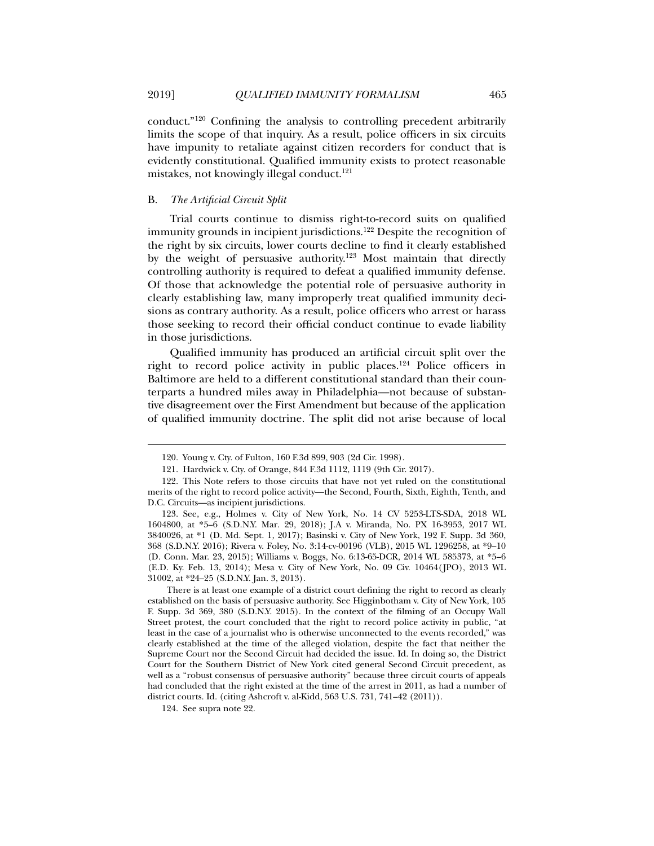conduct."120 Confining the analysis to controlling precedent arbitrarily limits the scope of that inquiry. As a result, police officers in six circuits have impunity to retaliate against citizen recorders for conduct that is evidently constitutional. Qualified immunity exists to protect reasonable mistakes, not knowingly illegal conduct.<sup>121</sup>

## B. *The Artificial Circuit Split*

Trial courts continue to dismiss right-to-record suits on qualified immunity grounds in incipient jurisdictions.<sup>122</sup> Despite the recognition of the right by six circuits, lower courts decline to find it clearly established by the weight of persuasive authority.123 Most maintain that directly controlling authority is required to defeat a qualified immunity defense. Of those that acknowledge the potential role of persuasive authority in clearly establishing law, many improperly treat qualified immunity decisions as contrary authority. As a result, police officers who arrest or harass those seeking to record their official conduct continue to evade liability in those jurisdictions.

Qualified immunity has produced an artificial circuit split over the right to record police activity in public places.124 Police officers in Baltimore are held to a different constitutional standard than their counterparts a hundred miles away in Philadelphia—not because of substantive disagreement over the First Amendment but because of the application of qualified immunity doctrine. The split did not arise because of local

 <sup>120.</sup> Young v. Cty. of Fulton, 160 F.3d 899, 903 (2d Cir. 1998).

 <sup>121.</sup> Hardwick v. Cty. of Orange, 844 F.3d 1112, 1119 (9th Cir. 2017).

 <sup>122.</sup> This Note refers to those circuits that have not yet ruled on the constitutional merits of the right to record police activity—the Second, Fourth, Sixth, Eighth, Tenth, and D.C. Circuits—as incipient jurisdictions.

 <sup>123.</sup> See, e.g., Holmes v. City of New York, No. 14 CV 5253-LTS-SDA, 2018 WL 1604800, at \*5–6 (S.D.N.Y. Mar. 29, 2018); J.A v. Miranda, No. PX 16-3953, 2017 WL 3840026, at \*1 (D. Md. Sept. 1, 2017); Basinski v. City of New York, 192 F. Supp. 3d 360, 368 (S.D.N.Y. 2016); Rivera v. Foley, No. 3:14-cv-00196 (VLB), 2015 WL 1296258, at \*9–10 (D. Conn. Mar. 23, 2015); Williams v. Boggs, No. 6:13-65-DCR, 2014 WL 585373, at \*5–6 (E.D. Ky. Feb. 13, 2014); Mesa v. City of New York, No. 09 Civ. 10464(JPO), 2013 WL 31002, at \*24–25 (S.D.N.Y. Jan. 3, 2013).

There is at least one example of a district court defining the right to record as clearly established on the basis of persuasive authority. See Higginbotham v. City of New York*,* 105 F. Supp. 3d 369, 380 (S.D.N.Y. 2015). In the context of the filming of an Occupy Wall Street protest, the court concluded that the right to record police activity in public, "at least in the case of a journalist who is otherwise unconnected to the events recorded," was clearly established at the time of the alleged violation, despite the fact that neither the Supreme Court nor the Second Circuit had decided the issue. Id. In doing so, the District Court for the Southern District of New York cited general Second Circuit precedent, as well as a "robust consensus of persuasive authority" because three circuit courts of appeals had concluded that the right existed at the time of the arrest in 2011, as had a number of district courts. Id. (citing Ashcroft v. al-Kidd, 563 U.S. 731, 741–42 (2011)).

 <sup>124.</sup> See supra note 22.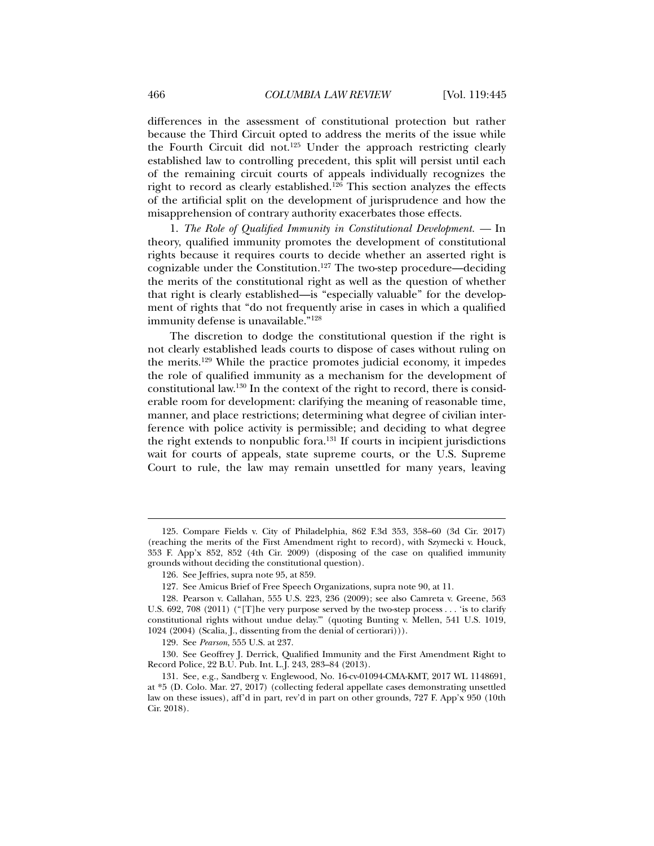differences in the assessment of constitutional protection but rather because the Third Circuit opted to address the merits of the issue while the Fourth Circuit did not.<sup>125</sup> Under the approach restricting clearly established law to controlling precedent, this split will persist until each of the remaining circuit courts of appeals individually recognizes the right to record as clearly established.<sup>126</sup> This section analyzes the effects of the artificial split on the development of jurisprudence and how the misapprehension of contrary authority exacerbates those effects.

1. *The Role of Qualified Immunity in Constitutional Development. —* In theory, qualified immunity promotes the development of constitutional rights because it requires courts to decide whether an asserted right is cognizable under the Constitution.127 The two-step procedure—deciding the merits of the constitutional right as well as the question of whether that right is clearly established—is "especially valuable" for the development of rights that "do not frequently arise in cases in which a qualified immunity defense is unavailable."128

The discretion to dodge the constitutional question if the right is not clearly established leads courts to dispose of cases without ruling on the merits.129 While the practice promotes judicial economy, it impedes the role of qualified immunity as a mechanism for the development of constitutional law.130 In the context of the right to record, there is considerable room for development: clarifying the meaning of reasonable time, manner, and place restrictions; determining what degree of civilian interference with police activity is permissible; and deciding to what degree the right extends to nonpublic fora.131 If courts in incipient jurisdictions wait for courts of appeals, state supreme courts, or the U.S. Supreme Court to rule, the law may remain unsettled for many years, leaving

 <sup>125.</sup> Compare Fields v. City of Philadelphia, 862 F.3d 353, 358–60 (3d Cir. 2017) (reaching the merits of the First Amendment right to record), with Szymecki v. Houck, 353 F. App'x 852, 852 (4th Cir. 2009) (disposing of the case on qualified immunity grounds without deciding the constitutional question).

 <sup>126.</sup> See Jeffries, supra note 95, at 859.

 <sup>127.</sup> See Amicus Brief of Free Speech Organizations, supra note 90, at 11.

 <sup>128.</sup> Pearson v. Callahan, 555 U.S. 223, 236 (2009); see also Camreta v. Greene, 563 U.S. 692, 708 (2011) ("[T]he very purpose served by the two-step process . . . 'is to clarify constitutional rights without undue delay.'" (quoting Bunting v. Mellen, 541 U.S. 1019, 1024 (2004) (Scalia, J., dissenting from the denial of certiorari))).

 <sup>129.</sup> See *Pearson*, 555 U.S. at 237.

 <sup>130.</sup> See Geoffrey J. Derrick, Qualified Immunity and the First Amendment Right to Record Police, 22 B.U. Pub. Int. L.J. 243, 283–84 (2013).

 <sup>131.</sup> See, e.g., Sandberg v. Englewood, No. 16-cv-01094-CMA-KMT, 2017 WL 1148691, at \*5 (D. Colo. Mar. 27, 2017) (collecting federal appellate cases demonstrating unsettled law on these issues), aff'd in part, rev'd in part on other grounds, 727 F. App'x 950 (10th Cir. 2018).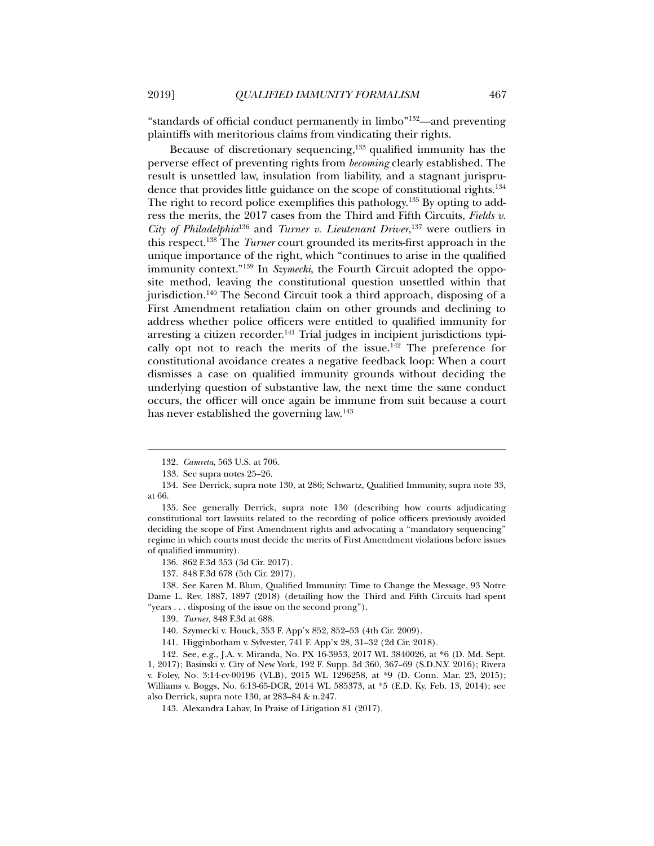"standards of official conduct permanently in limbo"132—and preventing plaintiffs with meritorious claims from vindicating their rights.

Because of discretionary sequencing, $133$  qualified immunity has the perverse effect of preventing rights from *becoming* clearly established. The result is unsettled law, insulation from liability, and a stagnant jurisprudence that provides little guidance on the scope of constitutional rights.<sup>134</sup> The right to record police exemplifies this pathology.<sup>135</sup> By opting to address the merits, the 2017 cases from the Third and Fifth Circuits, *Fields v. City of Philadelphia*<sup>136</sup> and *Turner v. Lieutenant Driver*, 137 were outliers in this respect.138 The *Turner* court grounded its merits-first approach in the unique importance of the right, which "continues to arise in the qualified immunity context."139 In *Szymecki*, the Fourth Circuit adopted the opposite method, leaving the constitutional question unsettled within that jurisdiction.140 The Second Circuit took a third approach, disposing of a First Amendment retaliation claim on other grounds and declining to address whether police officers were entitled to qualified immunity for arresting a citizen recorder.<sup>141</sup> Trial judges in incipient jurisdictions typically opt not to reach the merits of the issue.<sup>142</sup> The preference for constitutional avoidance creates a negative feedback loop: When a court dismisses a case on qualified immunity grounds without deciding the underlying question of substantive law, the next time the same conduct occurs, the officer will once again be immune from suit because a court has never established the governing law.<sup>143</sup>

l

 138. See Karen M. Blum, Qualified Immunity: Time to Change the Message, 93 Notre Dame L. Rev. 1887, 1897 (2018) (detailing how the Third and Fifth Circuits had spent "years . . . disposing of the issue on the second prong").

141. Higginbotham v. Sylvester, 741 F. App'x 28, 31–32 (2d Cir. 2018).

 142. See, e.g., J.A. v. Miranda, No. PX 16-3953, 2017 WL 3840026, at \*6 (D. Md. Sept. 1, 2017); Basinski v. City of New York, 192 F. Supp. 3d 360, 367–69 (S.D.N.Y. 2016); Rivera v. Foley, No. 3:14-cv-00196 (VLB), 2015 WL 1296258, at \*9 (D. Conn. Mar. 23, 2015); Williams v. Boggs, No. 6:13-65-DCR, 2014 WL 585373, at \*5 (E.D. Ky. Feb. 13, 2014); see also Derrick, supra note 130, at 283–84 & n.247.

143. Alexandra Lahav, In Praise of Litigation 81 (2017).

<sup>132</sup>*. Camreta*, 563 U.S. at 706.

 <sup>133.</sup> See supra notes 25–26.

 <sup>134.</sup> See Derrick, supra note 130, at 286; Schwartz, Qualified Immunity, supra note 33, at 66.

 <sup>135.</sup> See generally Derrick, supra note 130 (describing how courts adjudicating constitutional tort lawsuits related to the recording of police officers previously avoided deciding the scope of First Amendment rights and advocating a "mandatory sequencing" regime in which courts must decide the merits of First Amendment violations before issues of qualified immunity).

 <sup>136. 862</sup> F.3d 353 (3d Cir. 2017).

 <sup>137. 848</sup> F.3d 678 (5th Cir. 2017).

<sup>139</sup>*. Turner*, 848 F.3d at 688.

 <sup>140.</sup> Szymecki v. Houck, 353 F. App'x 852, 852–53 (4th Cir. 2009).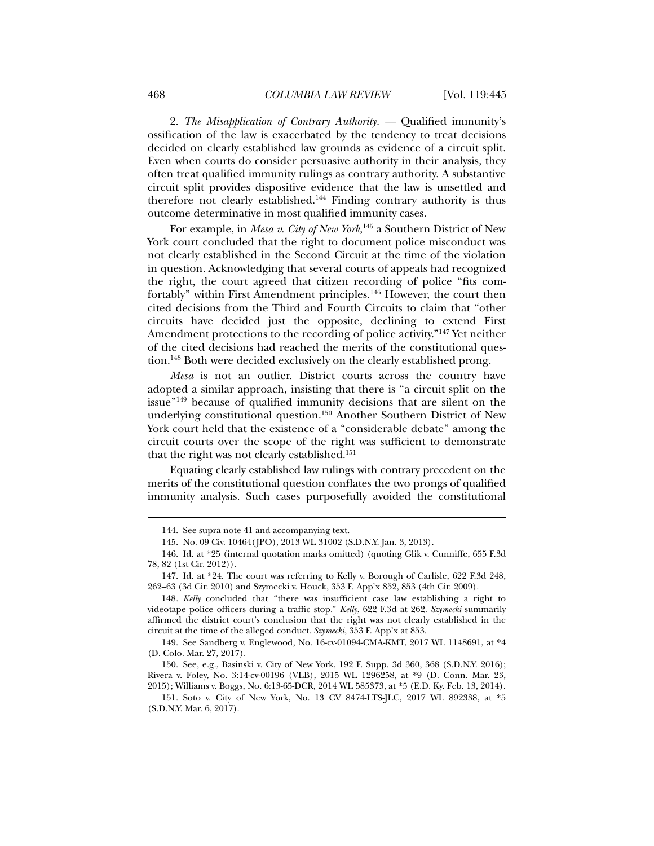2. *The Misapplication of Contrary Authority. —* Qualified immunity's ossification of the law is exacerbated by the tendency to treat decisions decided on clearly established law grounds as evidence of a circuit split. Even when courts do consider persuasive authority in their analysis, they often treat qualified immunity rulings as contrary authority. A substantive circuit split provides dispositive evidence that the law is unsettled and therefore not clearly established.144 Finding contrary authority is thus outcome determinative in most qualified immunity cases.

For example, in *Mesa v. City of New York*, <sup>145</sup> a Southern District of New York court concluded that the right to document police misconduct was not clearly established in the Second Circuit at the time of the violation in question. Acknowledging that several courts of appeals had recognized the right, the court agreed that citizen recording of police "fits comfortably" within First Amendment principles.<sup>146</sup> However, the court then cited decisions from the Third and Fourth Circuits to claim that "other circuits have decided just the opposite, declining to extend First Amendment protections to the recording of police activity."147 Yet neither of the cited decisions had reached the merits of the constitutional question.148 Both were decided exclusively on the clearly established prong.

*Mesa* is not an outlier. District courts across the country have adopted a similar approach, insisting that there is "a circuit split on the issue"149 because of qualified immunity decisions that are silent on the underlying constitutional question.150 Another Southern District of New York court held that the existence of a "considerable debate" among the circuit courts over the scope of the right was sufficient to demonstrate that the right was not clearly established.<sup>151</sup>

Equating clearly established law rulings with contrary precedent on the merits of the constitutional question conflates the two prongs of qualified immunity analysis. Such cases purposefully avoided the constitutional

 <sup>144.</sup> See supra note 41 and accompanying text.

 <sup>145.</sup> No. 09 Civ. 10464(JPO), 2013 WL 31002 (S.D.N.Y. Jan. 3, 2013).

 <sup>146.</sup> Id. at \*25 (internal quotation marks omitted) (quoting Glik v. Cunniffe, 655 F.3d 78, 82 (1st Cir. 2012)).

 <sup>147.</sup> Id. at \*24. The court was referring to Kelly v. Borough of Carlisle, 622 F.3d 248, 262–63 (3d Cir. 2010) and Szymecki v. Houck, 353 F. App'x 852, 853 (4th Cir. 2009).

<sup>148</sup>*. Kelly* concluded that "there was insufficient case law establishing a right to videotape police officers during a traffic stop." *Kelly*, 622 F.3d at 262. *Szymecki* summarily affirmed the district court's conclusion that the right was not clearly established in the circuit at the time of the alleged conduct. *Szymecki*, 353 F. App'x at 853.

 <sup>149.</sup> See Sandberg v. Englewood, No. 16-cv-01094-CMA-KMT, 2017 WL 1148691, at \*4 (D. Colo. Mar. 27, 2017).

 <sup>150.</sup> See, e.g., Basinski v. City of New York, 192 F. Supp. 3d 360, 368 (S.D.N.Y. 2016); Rivera v. Foley, No. 3:14-cv-00196 (VLB), 2015 WL 1296258, at \*9 (D. Conn. Mar. 23, 2015); Williams v. Boggs, No. 6:13-65-DCR, 2014 WL 585373, at \*5 (E.D. Ky. Feb. 13, 2014).

 <sup>151.</sup> Soto v. City of New York, No. 13 CV 8474-LTS-JLC, 2017 WL 892338, at \*5 (S.D.N.Y. Mar. 6, 2017).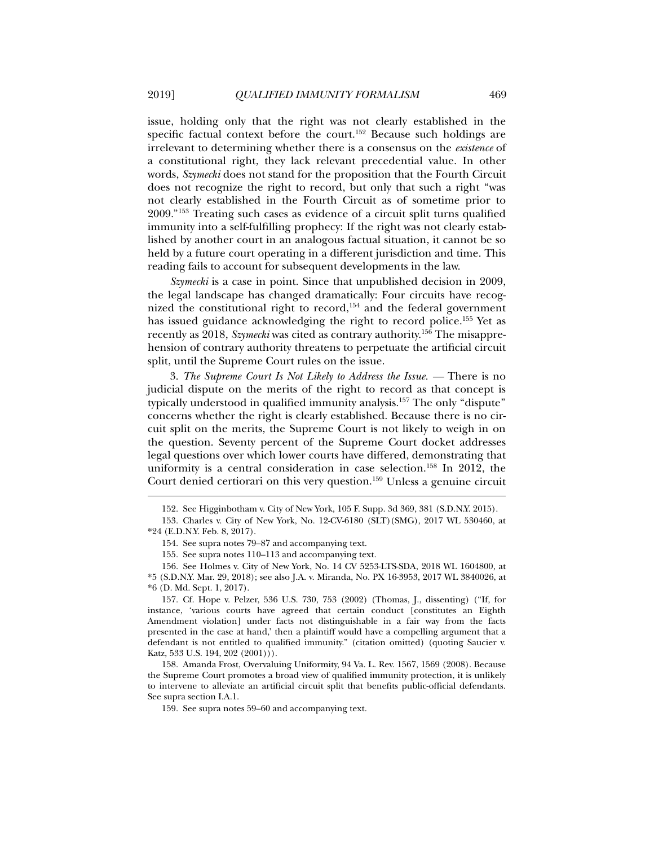issue, holding only that the right was not clearly established in the specific factual context before the court.<sup>152</sup> Because such holdings are irrelevant to determining whether there is a consensus on the *existence* of a constitutional right, they lack relevant precedential value. In other words, *Szymecki* does not stand for the proposition that the Fourth Circuit does not recognize the right to record, but only that such a right "was not clearly established in the Fourth Circuit as of sometime prior to 2009."153 Treating such cases as evidence of a circuit split turns qualified immunity into a self-fulfilling prophecy: If the right was not clearly established by another court in an analogous factual situation, it cannot be so held by a future court operating in a different jurisdiction and time. This reading fails to account for subsequent developments in the law.

*Szymecki* is a case in point. Since that unpublished decision in 2009, the legal landscape has changed dramatically: Four circuits have recognized the constitutional right to record, $154$  and the federal government has issued guidance acknowledging the right to record police.<sup>155</sup> Yet as recently as 2018, *Szymecki* was cited as contrary authority.156 The misapprehension of contrary authority threatens to perpetuate the artificial circuit split, until the Supreme Court rules on the issue.

3. *The Supreme Court Is Not Likely to Address the Issue. —* There is no judicial dispute on the merits of the right to record as that concept is typically understood in qualified immunity analysis.157 The only "dispute" concerns whether the right is clearly established. Because there is no circuit split on the merits, the Supreme Court is not likely to weigh in on the question. Seventy percent of the Supreme Court docket addresses legal questions over which lower courts have differed, demonstrating that uniformity is a central consideration in case selection.<sup>158</sup> In 2012, the Court denied certiorari on this very question.159 Unless a genuine circuit

154. See supra notes 79–87 and accompanying text.

155. See supra notes 110–113 and accompanying text.

 157. Cf. Hope v. Pelzer, 536 U.S. 730, 753 (2002) (Thomas, J., dissenting) ("If, for instance, 'various courts have agreed that certain conduct [constitutes an Eighth Amendment violation] under facts not distinguishable in a fair way from the facts presented in the case at hand,' then a plaintiff would have a compelling argument that a defendant is not entitled to qualified immunity." (citation omitted) (quoting Saucier v. Katz, 533 U.S. 194, 202 (2001))).

 158. Amanda Frost, Overvaluing Uniformity, 94 Va. L. Rev. 1567, 1569 (2008). Because the Supreme Court promotes a broad view of qualified immunity protection, it is unlikely to intervene to alleviate an artificial circuit split that benefits public-official defendants. See supra section I.A.1.

159. See supra notes 59–60 and accompanying text.

 <sup>152.</sup> See Higginbotham v. City of New York, 105 F. Supp. 3d 369, 381 (S.D.N.Y. 2015).

 <sup>153.</sup> Charles v. City of New York, No. 12-CV-6180 (SLT)(SMG), 2017 WL 530460, at \*24 (E.D.N.Y. Feb. 8, 2017).

 <sup>156.</sup> See Holmes v. City of New York, No. 14 CV 5253-LTS-SDA, 2018 WL 1604800, at \*5 (S.D.N.Y. Mar. 29, 2018); see also J.A. v. Miranda, No. PX 16-3953, 2017 WL 3840026, at \*6 (D. Md. Sept. 1, 2017).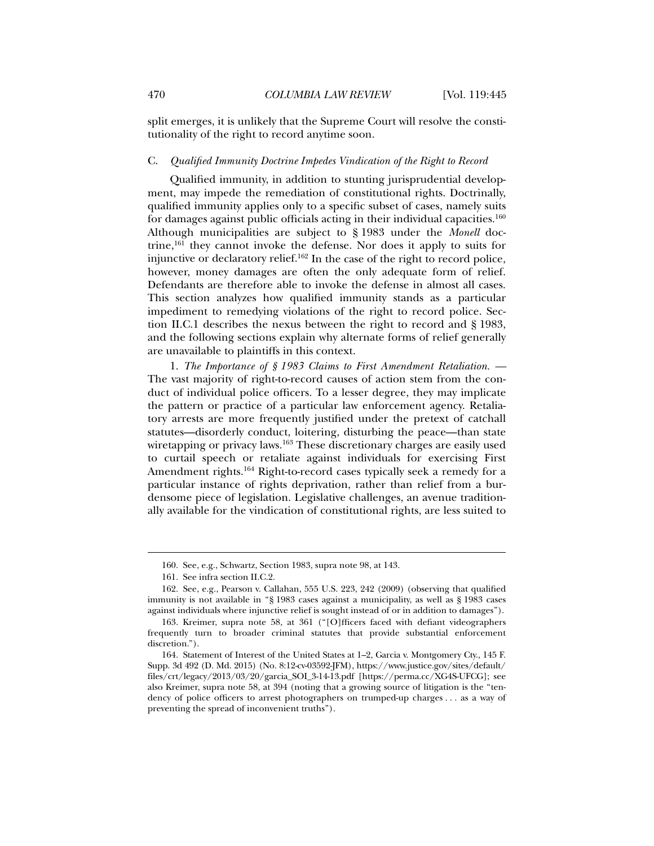split emerges, it is unlikely that the Supreme Court will resolve the constitutionality of the right to record anytime soon.

#### C. *Qualified Immunity Doctrine Impedes Vindication of the Right to Record*

Qualified immunity, in addition to stunting jurisprudential development, may impede the remediation of constitutional rights. Doctrinally, qualified immunity applies only to a specific subset of cases, namely suits for damages against public officials acting in their individual capacities.<sup>160</sup> Although municipalities are subject to § 1983 under the *Monell* doctrine, $161$  they cannot invoke the defense. Nor does it apply to suits for injunctive or declaratory relief.162 In the case of the right to record police, however, money damages are often the only adequate form of relief. Defendants are therefore able to invoke the defense in almost all cases. This section analyzes how qualified immunity stands as a particular impediment to remedying violations of the right to record police. Section II.C.1 describes the nexus between the right to record and § 1983, and the following sections explain why alternate forms of relief generally are unavailable to plaintiffs in this context.

1. *The Importance of § 1983 Claims to First Amendment Retaliation. —*  The vast majority of right-to-record causes of action stem from the conduct of individual police officers. To a lesser degree, they may implicate the pattern or practice of a particular law enforcement agency. Retaliatory arrests are more frequently justified under the pretext of catchall statutes—disorderly conduct, loitering, disturbing the peace—than state wiretapping or privacy laws.<sup>163</sup> These discretionary charges are easily used to curtail speech or retaliate against individuals for exercising First Amendment rights.<sup>164</sup> Right-to-record cases typically seek a remedy for a particular instance of rights deprivation, rather than relief from a burdensome piece of legislation. Legislative challenges, an avenue traditionally available for the vindication of constitutional rights, are less suited to

 <sup>160.</sup> See, e.g., Schwartz, Section 1983, supra note 98, at 143.

 <sup>161.</sup> See infra section II.C.2.

 <sup>162.</sup> See, e.g., Pearson v. Callahan, 555 U.S. 223, 242 (2009) (observing that qualified immunity is not available in "§ 1983 cases against a municipality, as well as § 1983 cases against individuals where injunctive relief is sought instead of or in addition to damages").

 <sup>163.</sup> Kreimer, supra note 58, at 361 ("[O]fficers faced with defiant videographers frequently turn to broader criminal statutes that provide substantial enforcement discretion.").

 <sup>164.</sup> Statement of Interest of the United States at 1–2, Garcia v. Montgomery Cty., 145 F. Supp. 3d 492 (D. Md. 2015) (No. 8:12-cv-03592-JFM), https://www.justice.gov/sites/default/ files/crt/legacy/2013/03/20/garcia\_SOI\_3-14-13.pdf [https://perma.cc/XG4S-UFCG]; see also Kreimer, supra note 58, at 394 (noting that a growing source of litigation is the "tendency of police officers to arrest photographers on trumped-up charges . . . as a way of preventing the spread of inconvenient truths").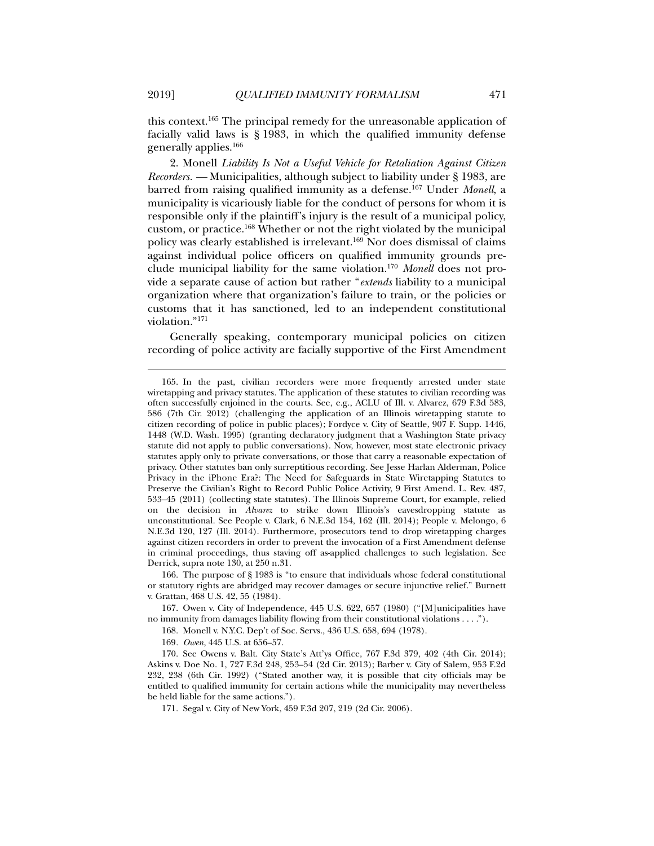this context.165 The principal remedy for the unreasonable application of facially valid laws is § 1983, in which the qualified immunity defense generally applies.166

2. Monell *Liability Is Not a Useful Vehicle for Retaliation Against Citizen Recorders. —* Municipalities, although subject to liability under § 1983, are barred from raising qualified immunity as a defense.167 Under *Monell*, a municipality is vicariously liable for the conduct of persons for whom it is responsible only if the plaintiff's injury is the result of a municipal policy, custom, or practice.168 Whether or not the right violated by the municipal policy was clearly established is irrelevant.169 Nor does dismissal of claims against individual police officers on qualified immunity grounds preclude municipal liability for the same violation.170 *Monell* does not provide a separate cause of action but rather "*extends* liability to a municipal organization where that organization's failure to train, or the policies or customs that it has sanctioned, led to an independent constitutional violation."171

Generally speaking, contemporary municipal policies on citizen recording of police activity are facially supportive of the First Amendment

 167. Owen v. City of Independence, 445 U.S. 622, 657 (1980) ("[M]unicipalities have no immunity from damages liability flowing from their constitutional violations . . . .").

169*. Owen*, 445 U.S. at 656–57.

171. Segal v. City of New York, 459 F.3d 207, 219 (2d Cir. 2006).

 <sup>165.</sup> In the past, civilian recorders were more frequently arrested under state wiretapping and privacy statutes. The application of these statutes to civilian recording was often successfully enjoined in the courts. See, e.g., ACLU of Ill. v. Alvarez, 679 F.3d 583, 586 (7th Cir. 2012) (challenging the application of an Illinois wiretapping statute to citizen recording of police in public places); Fordyce v. City of Seattle, 907 F. Supp. 1446, 1448 (W.D. Wash. 1995) (granting declaratory judgment that a Washington State privacy statute did not apply to public conversations). Now, however, most state electronic privacy statutes apply only to private conversations, or those that carry a reasonable expectation of privacy. Other statutes ban only surreptitious recording. See Jesse Harlan Alderman, Police Privacy in the iPhone Era?: The Need for Safeguards in State Wiretapping Statutes to Preserve the Civilian's Right to Record Public Police Activity, 9 First Amend. L. Rev. 487, 533–45 (2011) (collecting state statutes). The Illinois Supreme Court, for example, relied on the decision in *Alvarez* to strike down Illinois's eavesdropping statute as unconstitutional. See People v. Clark, 6 N.E.3d 154, 162 (Ill. 2014); People v. Melongo, 6 N.E.3d 120, 127 (Ill. 2014). Furthermore, prosecutors tend to drop wiretapping charges against citizen recorders in order to prevent the invocation of a First Amendment defense in criminal proceedings, thus staving off as-applied challenges to such legislation. See Derrick, supra note 130, at 250 n.31.

 <sup>166.</sup> The purpose of § 1983 is "to ensure that individuals whose federal constitutional or statutory rights are abridged may recover damages or secure injunctive relief." Burnett v. Grattan, 468 U.S. 42, 55 (1984).

 <sup>168.</sup> Monell v. N.Y.C. Dep't of Soc. Servs., 436 U.S. 658, 694 (1978).

 <sup>170.</sup> See Owens v. Balt. City State's Att'ys Office, 767 F.3d 379, 402 (4th Cir. 2014); Askins v. Doe No. 1, 727 F.3d 248, 253–54 (2d Cir. 2013); Barber v. City of Salem, 953 F.2d 232, 238 (6th Cir. 1992) ("Stated another way, it is possible that city officials may be entitled to qualified immunity for certain actions while the municipality may nevertheless be held liable for the same actions.").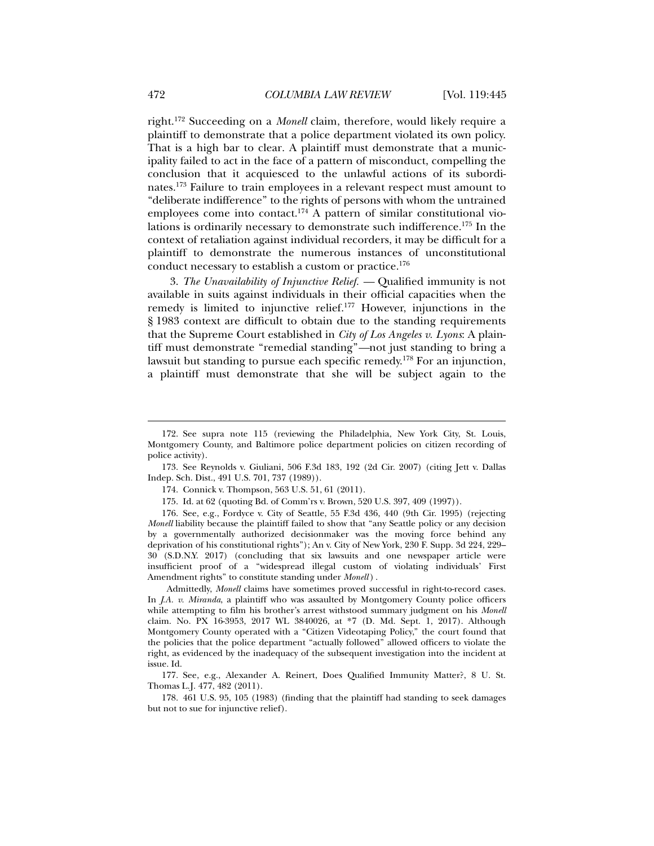right.172 Succeeding on a *Monell* claim, therefore, would likely require a plaintiff to demonstrate that a police department violated its own policy. That is a high bar to clear. A plaintiff must demonstrate that a municipality failed to act in the face of a pattern of misconduct, compelling the conclusion that it acquiesced to the unlawful actions of its subordinates.173 Failure to train employees in a relevant respect must amount to "deliberate indifference" to the rights of persons with whom the untrained employees come into contact.<sup>174</sup> A pattern of similar constitutional violations is ordinarily necessary to demonstrate such indifference.175 In the context of retaliation against individual recorders, it may be difficult for a plaintiff to demonstrate the numerous instances of unconstitutional conduct necessary to establish a custom or practice.<sup>176</sup>

3. *The Unavailability of Injunctive Relief. —* Qualified immunity is not available in suits against individuals in their official capacities when the remedy is limited to injunctive relief.177 However, injunctions in the § 1983 context are difficult to obtain due to the standing requirements that the Supreme Court established in *City of Los Angeles v. Lyons*: A plaintiff must demonstrate "remedial standing"*—*not just standing to bring a lawsuit but standing to pursue each specific remedy.178 For an injunction, a plaintiff must demonstrate that she will be subject again to the

 176. See, e.g., Fordyce v. City of Seattle, 55 F.3d 436, 440 (9th Cir. 1995) (rejecting *Monell* liability because the plaintiff failed to show that "any Seattle policy or any decision by a governmentally authorized decisionmaker was the moving force behind any deprivation of his constitutional rights"); An v. City of New York, 230 F. Supp. 3d 224, 229– 30 (S.D.N.Y. 2017) (concluding that six lawsuits and one newspaper article were insufficient proof of a "widespread illegal custom of violating individuals' First Amendment rights" to constitute standing under *Monell* ) .

Admittedly, *Monell* claims have sometimes proved successful in right-to-record cases. In *J.A. v. Miranda*, a plaintiff who was assaulted by Montgomery County police officers while attempting to film his brother's arrest withstood summary judgment on his *Monell*  claim. No. PX 16-3953, 2017 WL 3840026, at \*7 (D. Md. Sept. 1, 2017). Although Montgomery County operated with a "Citizen Videotaping Policy," the court found that the policies that the police department "actually followed" allowed officers to violate the right, as evidenced by the inadequacy of the subsequent investigation into the incident at issue. Id.

 177. See, e.g., Alexander A. Reinert, Does Qualified Immunity Matter?, 8 U. St. Thomas L.J. 477, 482 (2011).

 178. 461 U.S. 95, 105 (1983) (finding that the plaintiff had standing to seek damages but not to sue for injunctive relief).

 <sup>172.</sup> See supra note 115 (reviewing the Philadelphia, New York City, St. Louis, Montgomery County, and Baltimore police department policies on citizen recording of police activity).

 <sup>173.</sup> See Reynolds v. Giuliani, 506 F.3d 183, 192 (2d Cir. 2007) (citing Jett v. Dallas Indep. Sch. Dist., 491 U.S. 701, 737 (1989)).

 <sup>174.</sup> Connick v. Thompson, 563 U.S. 51, 61 (2011).

 <sup>175.</sup> Id. at 62 (quoting Bd. of Comm'rs v. Brown, 520 U.S. 397, 409 (1997)).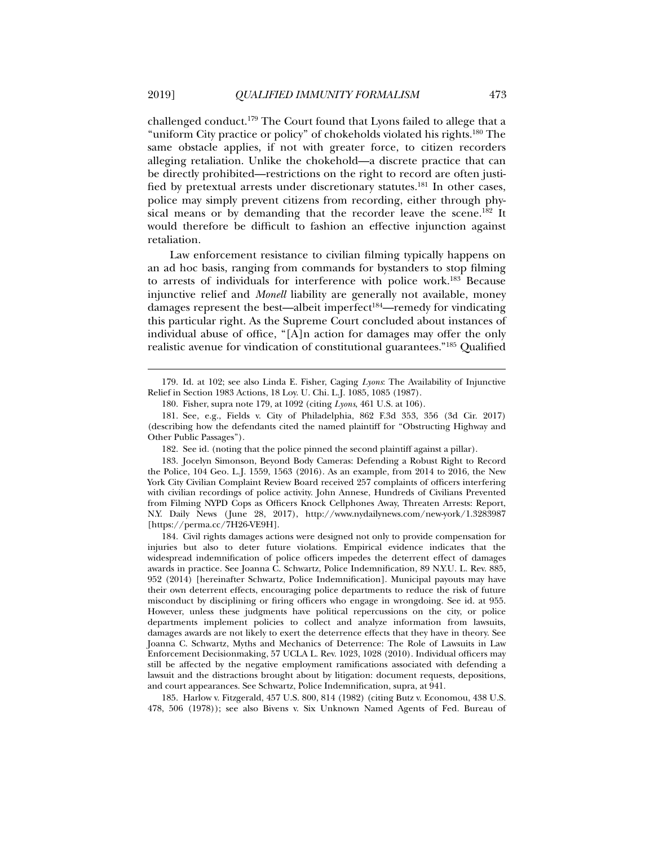challenged conduct.179 The Court found that Lyons failed to allege that a "uniform City practice or policy" of chokeholds violated his rights.180 The same obstacle applies, if not with greater force, to citizen recorders alleging retaliation. Unlike the chokehold—a discrete practice that can be directly prohibited—restrictions on the right to record are often justified by pretextual arrests under discretionary statutes.<sup>181</sup> In other cases, police may simply prevent citizens from recording, either through physical means or by demanding that the recorder leave the scene.<sup>182</sup> It would therefore be difficult to fashion an effective injunction against retaliation.

Law enforcement resistance to civilian filming typically happens on an ad hoc basis, ranging from commands for bystanders to stop filming to arrests of individuals for interference with police work.183 Because injunctive relief and *Monell* liability are generally not available, money damages represent the best—albeit imperfect<sup>184</sup>—remedy for vindicating this particular right. As the Supreme Court concluded about instances of individual abuse of office, "[A]n action for damages may offer the only realistic avenue for vindication of constitutional guarantees."185 Qualified

182. See id. (noting that the police pinned the second plaintiff against a pillar).

 183. Jocelyn Simonson, Beyond Body Cameras: Defending a Robust Right to Record the Police, 104 Geo. L.J. 1559, 1563 (2016). As an example, from 2014 to 2016, the New York City Civilian Complaint Review Board received 257 complaints of officers interfering with civilian recordings of police activity. John Annese, Hundreds of Civilians Prevented from Filming NYPD Cops as Officers Knock Cellphones Away, Threaten Arrests: Report, N.Y. Daily News (June 28, 2017), http://www.nydailynews.com/new-york/1.3283987 [https://perma.cc/7H26-VE9H].

 184. Civil rights damages actions were designed not only to provide compensation for injuries but also to deter future violations. Empirical evidence indicates that the widespread indemnification of police officers impedes the deterrent effect of damages awards in practice. See Joanna C. Schwartz, Police Indemnification, 89 N.Y.U. L. Rev. 885, 952 (2014) [hereinafter Schwartz, Police Indemnification]. Municipal payouts may have their own deterrent effects, encouraging police departments to reduce the risk of future misconduct by disciplining or firing officers who engage in wrongdoing. See id. at 955. However, unless these judgments have political repercussions on the city, or police departments implement policies to collect and analyze information from lawsuits, damages awards are not likely to exert the deterrence effects that they have in theory. See Joanna C. Schwartz, Myths and Mechanics of Deterrence: The Role of Lawsuits in Law Enforcement Decisionmaking, 57 UCLA L. Rev. 1023, 1028 (2010). Individual officers may still be affected by the negative employment ramifications associated with defending a lawsuit and the distractions brought about by litigation: document requests, depositions, and court appearances. See Schwartz, Police Indemnification, supra, at 941.

 185. Harlow v. Fitzgerald, 457 U.S. 800, 814 (1982) (citing Butz v. Economou, 438 U.S. 478, 506 (1978)); see also Bivens v. Six Unknown Named Agents of Fed. Bureau of

 <sup>179.</sup> Id. at 102; see also Linda E. Fisher, Caging *Lyons*: The Availability of Injunctive Relief in Section 1983 Actions, 18 Loy. U. Chi. L.J. 1085, 1085 (1987).

 <sup>180.</sup> Fisher, supra note 179, at 1092 (citing *Lyons*, 461 U.S. at 106).

 <sup>181.</sup> See, e.g., Fields v. City of Philadelphia, 862 F.3d 353, 356 (3d Cir. 2017) (describing how the defendants cited the named plaintiff for "Obstructing Highway and Other Public Passages").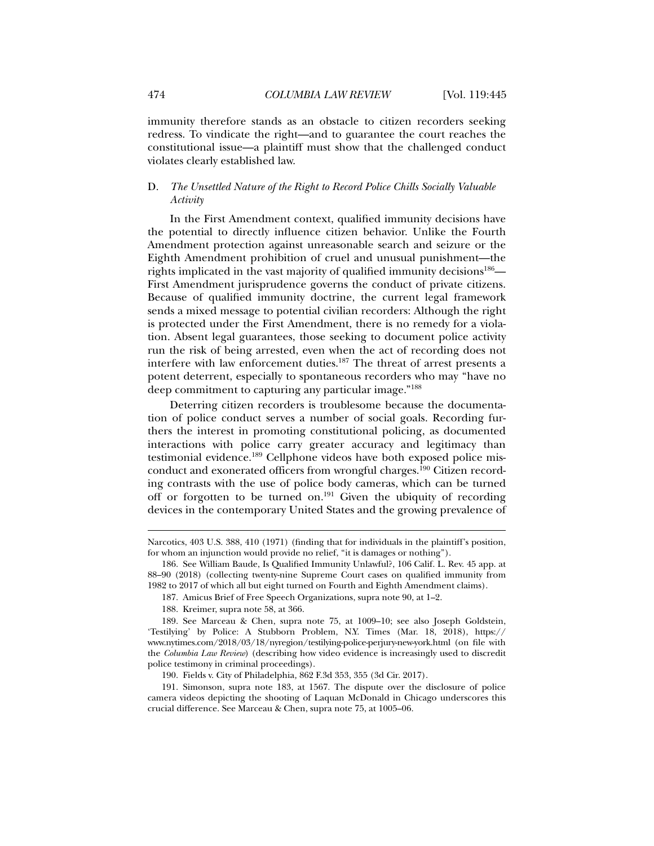immunity therefore stands as an obstacle to citizen recorders seeking redress. To vindicate the right—and to guarantee the court reaches the constitutional issue—a plaintiff must show that the challenged conduct violates clearly established law.

## D. *The Unsettled Nature of the Right to Record Police Chills Socially Valuable Activity*

In the First Amendment context, qualified immunity decisions have the potential to directly influence citizen behavior. Unlike the Fourth Amendment protection against unreasonable search and seizure or the Eighth Amendment prohibition of cruel and unusual punishment—the rights implicated in the vast majority of qualified immunity decisions<sup>186</sup>— First Amendment jurisprudence governs the conduct of private citizens. Because of qualified immunity doctrine, the current legal framework sends a mixed message to potential civilian recorders: Although the right is protected under the First Amendment, there is no remedy for a violation. Absent legal guarantees, those seeking to document police activity run the risk of being arrested, even when the act of recording does not interfere with law enforcement duties.187 The threat of arrest presents a potent deterrent, especially to spontaneous recorders who may "have no deep commitment to capturing any particular image."188

Deterring citizen recorders is troublesome because the documentation of police conduct serves a number of social goals. Recording furthers the interest in promoting constitutional policing, as documented interactions with police carry greater accuracy and legitimacy than testimonial evidence.189 Cellphone videos have both exposed police misconduct and exonerated officers from wrongful charges.<sup>190</sup> Citizen recording contrasts with the use of police body cameras, which can be turned off or forgotten to be turned on.<sup>191</sup> Given the ubiquity of recording devices in the contemporary United States and the growing prevalence of

Narcotics, 403 U.S. 388, 410 (1971) (finding that for individuals in the plaintiff's position, for whom an injunction would provide no relief, "it is damages or nothing").

 <sup>186.</sup> See William Baude, Is Qualified Immunity Unlawful?, 106 Calif. L. Rev. 45 app. at 88–90 (2018) (collecting twenty-nine Supreme Court cases on qualified immunity from 1982 to 2017 of which all but eight turned on Fourth and Eighth Amendment claims).

 <sup>187.</sup> Amicus Brief of Free Speech Organizations, supra note 90, at 1–2.

 <sup>188.</sup> Kreimer, supra note 58, at 366.

 <sup>189.</sup> See Marceau & Chen, supra note 75, at 1009–10; see also Joseph Goldstein, 'Testilying' by Police: A Stubborn Problem, N.Y. Times (Mar. 18, 2018), https:// www.nytimes.com/2018/03/18/nyregion/testilying-police-perjury-new-york.html (on file with the *Columbia Law Review*) (describing how video evidence is increasingly used to discredit police testimony in criminal proceedings).

 <sup>190.</sup> Fields v. City of Philadelphia*,* 862 F.3d 353, 355 (3d Cir. 2017).

 <sup>191.</sup> Simonson, supra note 183, at 1567. The dispute over the disclosure of police camera videos depicting the shooting of Laquan McDonald in Chicago underscores this crucial difference. See Marceau & Chen, supra note 75, at 1005–06.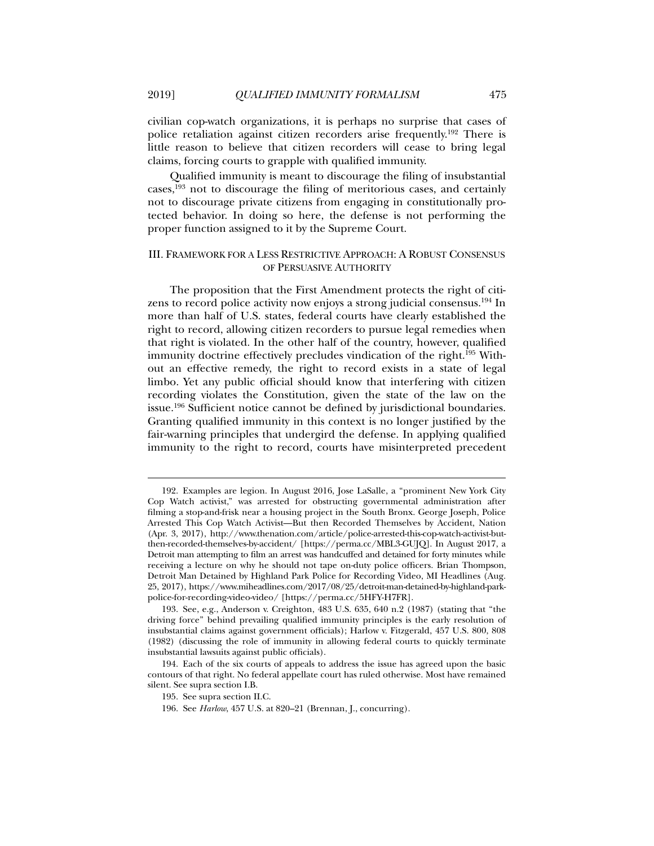civilian cop-watch organizations, it is perhaps no surprise that cases of police retaliation against citizen recorders arise frequently.192 There is little reason to believe that citizen recorders will cease to bring legal claims, forcing courts to grapple with qualified immunity.

Qualified immunity is meant to discourage the filing of insubstantial cases,193 not to discourage the filing of meritorious cases, and certainly not to discourage private citizens from engaging in constitutionally protected behavior. In doing so here, the defense is not performing the proper function assigned to it by the Supreme Court.

## III. FRAMEWORK FOR A LESS RESTRICTIVE APPROACH: A ROBUST CONSENSUS OF PERSUASIVE AUTHORITY

The proposition that the First Amendment protects the right of citizens to record police activity now enjoys a strong judicial consensus.194 In more than half of U.S. states, federal courts have clearly established the right to record, allowing citizen recorders to pursue legal remedies when that right is violated. In the other half of the country, however, qualified immunity doctrine effectively precludes vindication of the right.<sup>195</sup> Without an effective remedy, the right to record exists in a state of legal limbo. Yet any public official should know that interfering with citizen recording violates the Constitution, given the state of the law on the issue.196 Sufficient notice cannot be defined by jurisdictional boundaries. Granting qualified immunity in this context is no longer justified by the fair-warning principles that undergird the defense. In applying qualified immunity to the right to record, courts have misinterpreted precedent

 <sup>192.</sup> Examples are legion. In August 2016, Jose LaSalle, a "prominent New York City Cop Watch activist," was arrested for obstructing governmental administration after filming a stop-and-frisk near a housing project in the South Bronx. George Joseph, Police Arrested This Cop Watch Activist—But then Recorded Themselves by Accident, Nation (Apr. 3, 2017), http://www.thenation.com/article/police-arrested-this-cop-watch-activist-butthen-recorded-themselves-by-accident/ [https://perma.cc/MBL3-GUJQ]. In August 2017, a Detroit man attempting to film an arrest was handcuffed and detained for forty minutes while receiving a lecture on why he should not tape on-duty police officers. Brian Thompson, Detroit Man Detained by Highland Park Police for Recording Video, MI Headlines (Aug. 25, 2017), https://www.miheadlines.com/2017/08/25/detroit-man-detained-by-highland-parkpolice-for-recording-video-video/ [https://perma.cc/5HFY-H7FR].

 <sup>193.</sup> See, e.g., Anderson v. Creighton, 483 U.S. 635, 640 n.2 (1987) (stating that "the driving force" behind prevailing qualified immunity principles is the early resolution of insubstantial claims against government officials); Harlow v. Fitzgerald, 457 U.S. 800, 808 (1982) (discussing the role of immunity in allowing federal courts to quickly terminate insubstantial lawsuits against public officials).

 <sup>194.</sup> Each of the six courts of appeals to address the issue has agreed upon the basic contours of that right. No federal appellate court has ruled otherwise. Most have remained silent. See supra section I.B.

 <sup>195.</sup> See supra section II.C.

 <sup>196.</sup> See *Harlow*, 457 U.S. at 820–21 (Brennan, J., concurring).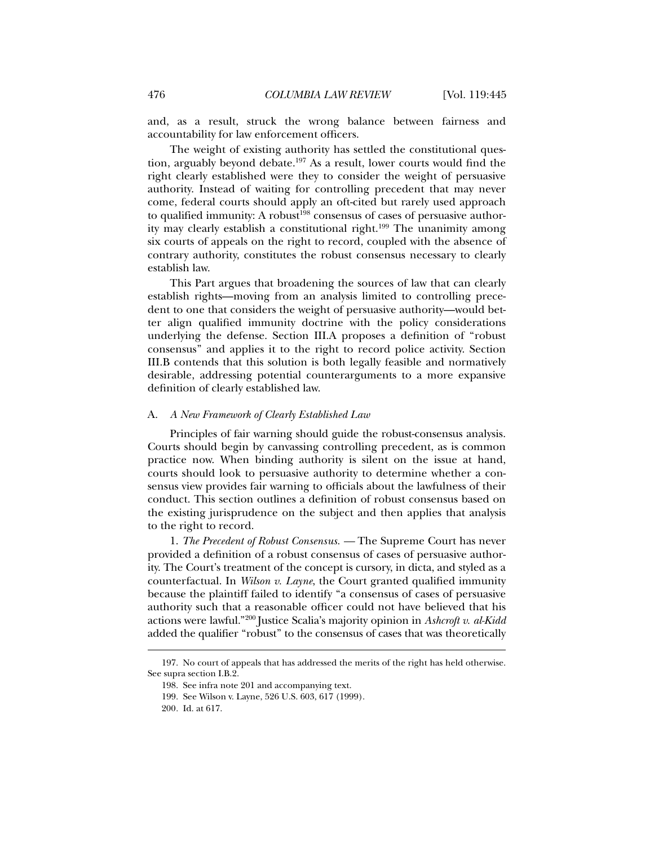and, as a result, struck the wrong balance between fairness and accountability for law enforcement officers.

The weight of existing authority has settled the constitutional question, arguably beyond debate.197 As a result, lower courts would find the right clearly established were they to consider the weight of persuasive authority. Instead of waiting for controlling precedent that may never come, federal courts should apply an oft-cited but rarely used approach to qualified immunity: A robust<sup>198</sup> consensus of cases of persuasive authority may clearly establish a constitutional right.<sup>199</sup> The unanimity among six courts of appeals on the right to record, coupled with the absence of contrary authority, constitutes the robust consensus necessary to clearly establish law.

This Part argues that broadening the sources of law that can clearly establish rights—moving from an analysis limited to controlling precedent to one that considers the weight of persuasive authority—would better align qualified immunity doctrine with the policy considerations underlying the defense. Section III.A proposes a definition of "robust consensus" and applies it to the right to record police activity. Section III.B contends that this solution is both legally feasible and normatively desirable, addressing potential counterarguments to a more expansive definition of clearly established law.

#### A. *A New Framework of Clearly Established Law*

Principles of fair warning should guide the robust-consensus analysis. Courts should begin by canvassing controlling precedent, as is common practice now. When binding authority is silent on the issue at hand, courts should look to persuasive authority to determine whether a consensus view provides fair warning to officials about the lawfulness of their conduct. This section outlines a definition of robust consensus based on the existing jurisprudence on the subject and then applies that analysis to the right to record.

1. *The Precedent of Robust Consensus. —* The Supreme Court has never provided a definition of a robust consensus of cases of persuasive authority. The Court's treatment of the concept is cursory, in dicta, and styled as a counterfactual. In *Wilson v. Layne*, the Court granted qualified immunity because the plaintiff failed to identify "a consensus of cases of persuasive authority such that a reasonable officer could not have believed that his actions were lawful."200 Justice Scalia's majority opinion in *Ashcroft v. al-Kidd* added the qualifier "robust" to the consensus of cases that was theoretically

 <sup>197.</sup> No court of appeals that has addressed the merits of the right has held otherwise. See supra section I.B.2.

 <sup>198.</sup> See infra note 201 and accompanying text.

 <sup>199.</sup> See Wilson v. Layne, 526 U.S. 603, 617 (1999).

<sup>200</sup>*.* Id. at 617.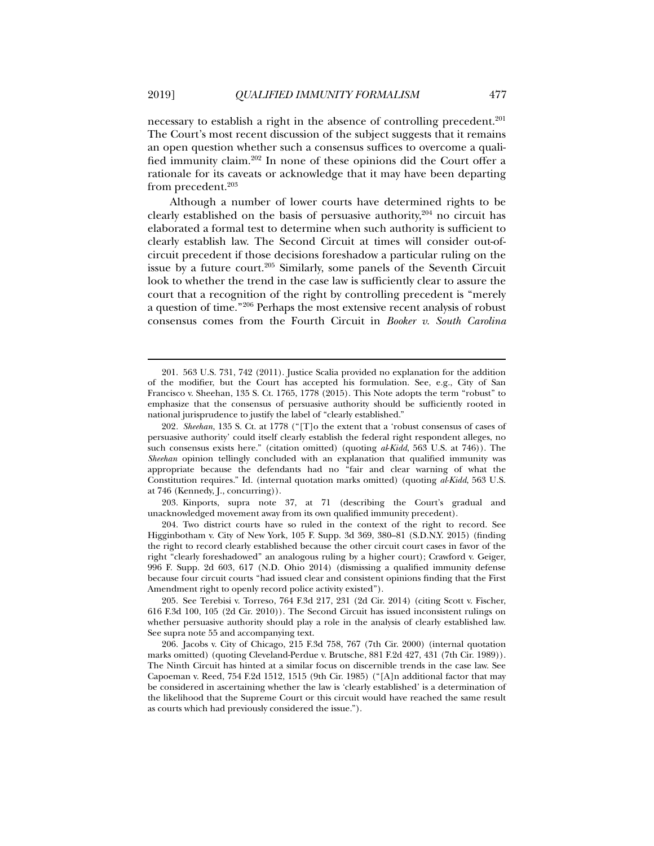necessary to establish a right in the absence of controlling precedent.<sup>201</sup> The Court's most recent discussion of the subject suggests that it remains an open question whether such a consensus suffices to overcome a qualified immunity claim.202 In none of these opinions did the Court offer a rationale for its caveats or acknowledge that it may have been departing from precedent.<sup>203</sup>

Although a number of lower courts have determined rights to be clearly established on the basis of persuasive authority, $204$  no circuit has elaborated a formal test to determine when such authority is sufficient to clearly establish law. The Second Circuit at times will consider out-ofcircuit precedent if those decisions foreshadow a particular ruling on the issue by a future court.<sup>205</sup> Similarly, some panels of the Seventh Circuit look to whether the trend in the case law is sufficiently clear to assure the court that a recognition of the right by controlling precedent is "merely a question of time."206 Perhaps the most extensive recent analysis of robust consensus comes from the Fourth Circuit in *Booker v. South Carolina* 

 203. Kinports, supra note 37, at 71 (describing the Court's gradual and unacknowledged movement away from its own qualified immunity precedent).

 204. Two district courts have so ruled in the context of the right to record. See Higginbotham v. City of New York, 105 F. Supp. 3d 369, 380–81 (S.D.N.Y. 2015) (finding the right to record clearly established because the other circuit court cases in favor of the right "clearly foreshadowed" an analogous ruling by a higher court); Crawford v. Geiger, 996 F. Supp. 2d 603, 617 (N.D. Ohio 2014) (dismissing a qualified immunity defense because four circuit courts "had issued clear and consistent opinions finding that the First Amendment right to openly record police activity existed").

 205. See Terebisi v. Torreso, 764 F.3d 217, 231 (2d Cir. 2014) (citing Scott v. Fischer, 616 F.3d 100, 105 (2d Cir. 2010)). The Second Circuit has issued inconsistent rulings on whether persuasive authority should play a role in the analysis of clearly established law. See supra note 55 and accompanying text.

 206. Jacobs v. City of Chicago, 215 F.3d 758, 767 (7th Cir. 2000) (internal quotation marks omitted) (quoting Cleveland-Perdue v. Brutsche, 881 F.2d 427, 431 (7th Cir. 1989)). The Ninth Circuit has hinted at a similar focus on discernible trends in the case law. See Capoeman v. Reed, 754 F.2d 1512, 1515 (9th Cir. 1985) ("[A]n additional factor that may be considered in ascertaining whether the law is 'clearly established' is a determination of the likelihood that the Supreme Court or this circuit would have reached the same result as courts which had previously considered the issue.").

 <sup>201. 563</sup> U.S. 731, 742 (2011). Justice Scalia provided no explanation for the addition of the modifier, but the Court has accepted his formulation. See, e.g., City of San Francisco v. Sheehan, 135 S. Ct. 1765, 1778 (2015). This Note adopts the term "robust" to emphasize that the consensus of persuasive authority should be sufficiently rooted in national jurisprudence to justify the label of "clearly established."

<sup>202</sup>*. Sheehan*, 135 S. Ct. at 1778 ("[T]o the extent that a 'robust consensus of cases of persuasive authority' could itself clearly establish the federal right respondent alleges, no such consensus exists here." (citation omitted) (quoting *al*-*Kidd*, 563 U.S. at 746)). The *Sheehan* opinion tellingly concluded with an explanation that qualified immunity was appropriate because the defendants had no "fair and clear warning of what the Constitution requires." Id. (internal quotation marks omitted) (quoting *al-Kidd*, 563 U.S. at 746 (Kennedy, J., concurring)).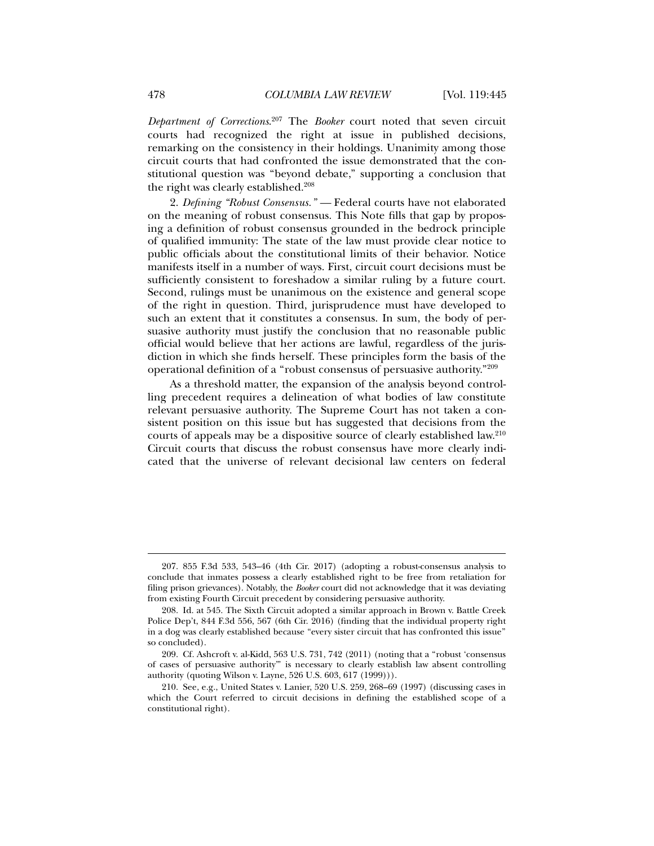*Department of Corrections*. 207 The *Booker* court noted that seven circuit courts had recognized the right at issue in published decisions, remarking on the consistency in their holdings. Unanimity among those circuit courts that had confronted the issue demonstrated that the constitutional question was "beyond debate," supporting a conclusion that the right was clearly established.<sup>208</sup>

2. *Defining "Robust Consensus." —* Federal courts have not elaborated on the meaning of robust consensus. This Note fills that gap by proposing a definition of robust consensus grounded in the bedrock principle of qualified immunity: The state of the law must provide clear notice to public officials about the constitutional limits of their behavior. Notice manifests itself in a number of ways. First, circuit court decisions must be sufficiently consistent to foreshadow a similar ruling by a future court. Second, rulings must be unanimous on the existence and general scope of the right in question. Third, jurisprudence must have developed to such an extent that it constitutes a consensus. In sum, the body of persuasive authority must justify the conclusion that no reasonable public official would believe that her actions are lawful, regardless of the jurisdiction in which she finds herself. These principles form the basis of the operational definition of a "robust consensus of persuasive authority."209

As a threshold matter, the expansion of the analysis beyond controlling precedent requires a delineation of what bodies of law constitute relevant persuasive authority. The Supreme Court has not taken a consistent position on this issue but has suggested that decisions from the courts of appeals may be a dispositive source of clearly established law.210 Circuit courts that discuss the robust consensus have more clearly indicated that the universe of relevant decisional law centers on federal

 <sup>207. 855</sup> F.3d 533, 543–46 (4th Cir. 2017) (adopting a robust-consensus analysis to conclude that inmates possess a clearly established right to be free from retaliation for filing prison grievances). Notably, the *Booker* court did not acknowledge that it was deviating from existing Fourth Circuit precedent by considering persuasive authority.

 <sup>208.</sup> Id. at 545. The Sixth Circuit adopted a similar approach in Brown v. Battle Creek Police Dep't, 844 F.3d 556, 567 (6th Cir. 2016) (finding that the individual property right in a dog was clearly established because "every sister circuit that has confronted this issue" so concluded).

 <sup>209.</sup> Cf. Ashcroft v. al-Kidd, 563 U.S. 731, 742 (2011) (noting that a "robust 'consensus of cases of persuasive authority'" is necessary to clearly establish law absent controlling authority (quoting Wilson v. Layne, 526 U.S. 603, 617 (1999))).

 <sup>210.</sup> See, e.g., United States v. Lanier, 520 U.S. 259, 268–69 (1997) (discussing cases in which the Court referred to circuit decisions in defining the established scope of a constitutional right).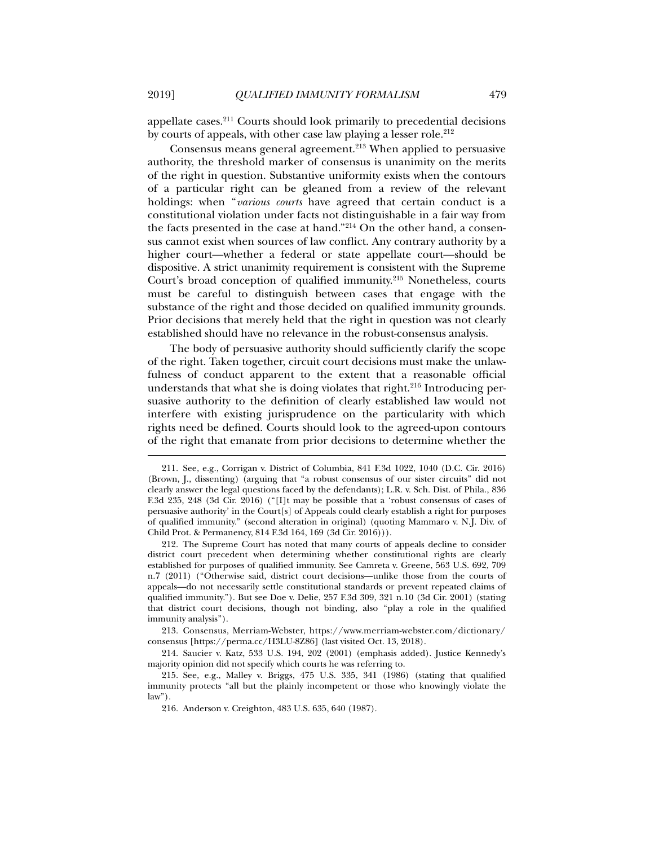appellate cases.211 Courts should look primarily to precedential decisions by courts of appeals, with other case law playing a lesser role.<sup>212</sup>

Consensus means general agreement.<sup>213</sup> When applied to persuasive authority, the threshold marker of consensus is unanimity on the merits of the right in question. Substantive uniformity exists when the contours of a particular right can be gleaned from a review of the relevant holdings: when "*various courts* have agreed that certain conduct is a constitutional violation under facts not distinguishable in a fair way from the facts presented in the case at hand."214 On the other hand, a consensus cannot exist when sources of law conflict. Any contrary authority by a higher court—whether a federal or state appellate court—should be dispositive. A strict unanimity requirement is consistent with the Supreme Court's broad conception of qualified immunity.215 Nonetheless, courts must be careful to distinguish between cases that engage with the substance of the right and those decided on qualified immunity grounds. Prior decisions that merely held that the right in question was not clearly established should have no relevance in the robust-consensus analysis.

The body of persuasive authority should sufficiently clarify the scope of the right. Taken together, circuit court decisions must make the unlawfulness of conduct apparent to the extent that a reasonable official understands that what she is doing violates that right.<sup>216</sup> Introducing persuasive authority to the definition of clearly established law would not interfere with existing jurisprudence on the particularity with which rights need be defined. Courts should look to the agreed-upon contours of the right that emanate from prior decisions to determine whether the

 213. Consensus, Merriam-Webster, https://www.merriam-webster.com/dictionary/ consensus [https://perma.cc/H3LU-8Z86] (last visited Oct. 13, 2018).

 <sup>211.</sup> See, e.g., Corrigan v. District of Columbia, 841 F.3d 1022, 1040 (D.C. Cir. 2016) (Brown, J., dissenting) (arguing that "a robust consensus of our sister circuits" did not clearly answer the legal questions faced by the defendants); L.R. v. Sch. Dist. of Phila., 836 F.3d 235, 248 (3d Cir. 2016) ("[I]t may be possible that a 'robust consensus of cases of persuasive authority' in the Court[s] of Appeals could clearly establish a right for purposes of qualified immunity." (second alteration in original) (quoting Mammaro v. N.J. Div. of Child Prot. & Permanency, 814 F.3d 164, 169 (3d Cir. 2016))).

 <sup>212.</sup> The Supreme Court has noted that many courts of appeals decline to consider district court precedent when determining whether constitutional rights are clearly established for purposes of qualified immunity. See Camreta v. Greene, 563 U.S. 692, 709 n.7 (2011) ("Otherwise said, district court decisions—unlike those from the courts of appeals—do not necessarily settle constitutional standards or prevent repeated claims of qualified immunity."). But see Doe v. Delie, 257 F.3d 309, 321 n.10 (3d Cir. 2001) (stating that district court decisions, though not binding, also "play a role in the qualified immunity analysis").

 <sup>214.</sup> Saucier v. Katz, 533 U.S. 194, 202 (2001) (emphasis added). Justice Kennedy's majority opinion did not specify which courts he was referring to.

 <sup>215.</sup> See, e.g., Malley v. Briggs, 475 U.S. 335, 341 (1986) (stating that qualified immunity protects "all but the plainly incompetent or those who knowingly violate the  $law$ ").

 <sup>216.</sup> Anderson v. Creighton, 483 U.S. 635, 640 (1987).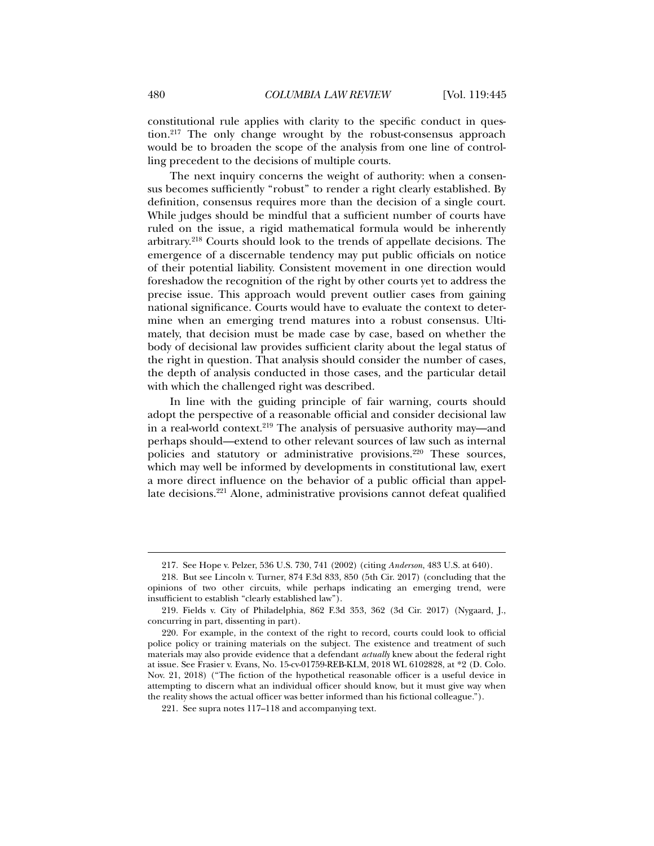constitutional rule applies with clarity to the specific conduct in question.217 The only change wrought by the robust-consensus approach would be to broaden the scope of the analysis from one line of controlling precedent to the decisions of multiple courts.

The next inquiry concerns the weight of authority: when a consensus becomes sufficiently "robust" to render a right clearly established. By definition, consensus requires more than the decision of a single court. While judges should be mindful that a sufficient number of courts have ruled on the issue, a rigid mathematical formula would be inherently arbitrary.218 Courts should look to the trends of appellate decisions. The emergence of a discernable tendency may put public officials on notice of their potential liability. Consistent movement in one direction would foreshadow the recognition of the right by other courts yet to address the precise issue. This approach would prevent outlier cases from gaining national significance. Courts would have to evaluate the context to determine when an emerging trend matures into a robust consensus. Ultimately, that decision must be made case by case, based on whether the body of decisional law provides sufficient clarity about the legal status of the right in question. That analysis should consider the number of cases, the depth of analysis conducted in those cases, and the particular detail with which the challenged right was described.

In line with the guiding principle of fair warning, courts should adopt the perspective of a reasonable official and consider decisional law in a real-world context.219 The analysis of persuasive authority may—and perhaps should—extend to other relevant sources of law such as internal policies and statutory or administrative provisions.<sup>220</sup> These sources, which may well be informed by developments in constitutional law, exert a more direct influence on the behavior of a public official than appellate decisions.221 Alone, administrative provisions cannot defeat qualified

 <sup>217.</sup> See Hope v. Pelzer, 536 U.S. 730, 741 (2002) (citing *Anderson*, 483 U.S. at 640).

 <sup>218.</sup> But see Lincoln v. Turner, 874 F.3d 833, 850 (5th Cir. 2017) (concluding that the opinions of two other circuits, while perhaps indicating an emerging trend, were insufficient to establish "clearly established law").

 <sup>219.</sup> Fields v. City of Philadelphia, 862 F.3d 353, 362 (3d Cir. 2017) (Nygaard, J., concurring in part, dissenting in part).

 <sup>220.</sup> For example, in the context of the right to record, courts could look to official police policy or training materials on the subject. The existence and treatment of such materials may also provide evidence that a defendant *actually* knew about the federal right at issue. See Frasier v. Evans, No. 15-cv-01759-REB-KLM, 2018 WL 6102828, at \*2 (D. Colo. Nov. 21, 2018) ("The fiction of the hypothetical reasonable officer is a useful device in attempting to discern what an individual officer should know, but it must give way when the reality shows the actual officer was better informed than his fictional colleague.").

 <sup>221.</sup> See supra notes 117–118 and accompanying text.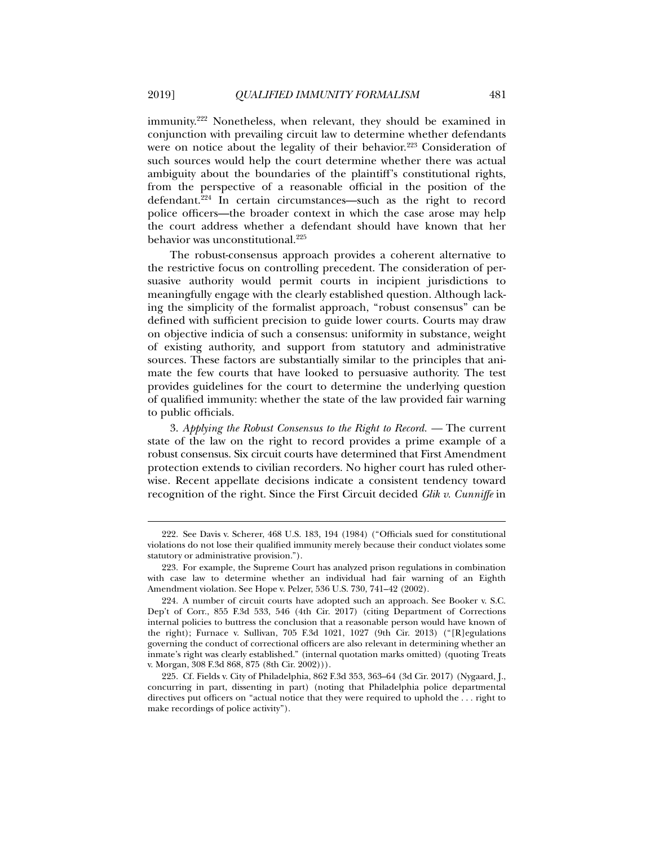immunity.222 Nonetheless, when relevant, they should be examined in conjunction with prevailing circuit law to determine whether defendants were on notice about the legality of their behavior.<sup>223</sup> Consideration of such sources would help the court determine whether there was actual ambiguity about the boundaries of the plaintiff's constitutional rights, from the perspective of a reasonable official in the position of the defendant.224 In certain circumstances—such as the right to record police officers—the broader context in which the case arose may help the court address whether a defendant should have known that her behavior was unconstitutional.225

The robust-consensus approach provides a coherent alternative to the restrictive focus on controlling precedent. The consideration of persuasive authority would permit courts in incipient jurisdictions to meaningfully engage with the clearly established question. Although lacking the simplicity of the formalist approach, "robust consensus" can be defined with sufficient precision to guide lower courts. Courts may draw on objective indicia of such a consensus: uniformity in substance, weight of existing authority, and support from statutory and administrative sources. These factors are substantially similar to the principles that animate the few courts that have looked to persuasive authority. The test provides guidelines for the court to determine the underlying question of qualified immunity: whether the state of the law provided fair warning to public officials.

3. *Applying the Robust Consensus to the Right to Record. —* The current state of the law on the right to record provides a prime example of a robust consensus. Six circuit courts have determined that First Amendment protection extends to civilian recorders. No higher court has ruled otherwise. Recent appellate decisions indicate a consistent tendency toward recognition of the right. Since the First Circuit decided *Glik v. Cunniffe* in

 <sup>222.</sup> See Davis v. Scherer, 468 U.S. 183, 194 (1984) ("Officials sued for constitutional violations do not lose their qualified immunity merely because their conduct violates some statutory or administrative provision.").

 <sup>223.</sup> For example, the Supreme Court has analyzed prison regulations in combination with case law to determine whether an individual had fair warning of an Eighth Amendment violation. See Hope v. Pelzer, 536 U.S. 730, 741–42 (2002).

 <sup>224.</sup> A number of circuit courts have adopted such an approach. See Booker v. S.C. Dep't of Corr., 855 F.3d 533, 546 (4th Cir. 2017) (citing Department of Corrections internal policies to buttress the conclusion that a reasonable person would have known of the right); Furnace v. Sullivan, 705 F.3d 1021, 1027 (9th Cir. 2013) ("[R]egulations governing the conduct of correctional officers are also relevant in determining whether an inmate's right was clearly established." (internal quotation marks omitted) (quoting Treats v. Morgan, 308 F.3d 868, 875 (8th Cir. 2002))).

 <sup>225.</sup> Cf. Fields v. City of Philadelphia, 862 F.3d 353, 363–64 (3d Cir. 2017) (Nygaard, J., concurring in part, dissenting in part) (noting that Philadelphia police departmental directives put officers on "actual notice that they were required to uphold the . . . right to make recordings of police activity").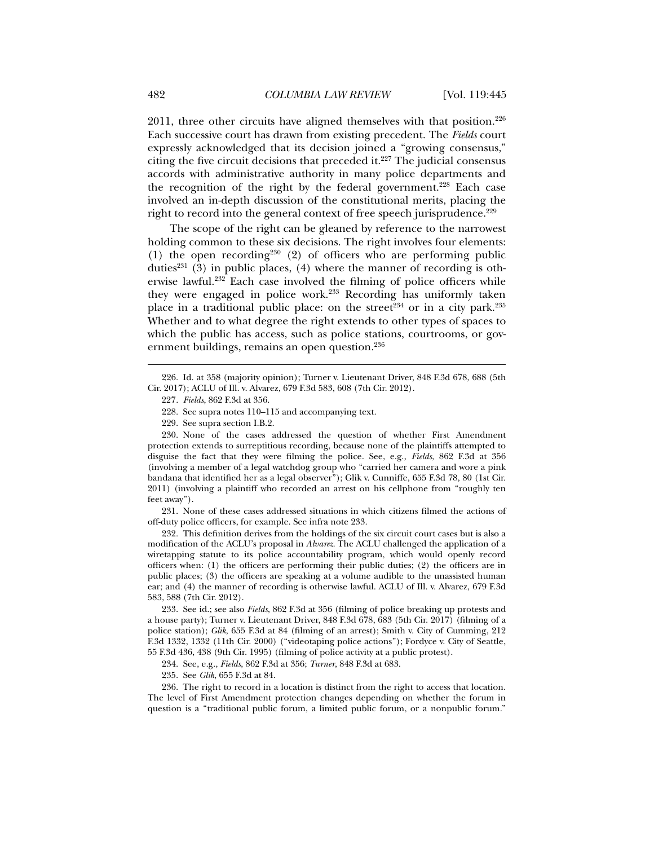$2011$ , three other circuits have aligned themselves with that position.<sup>226</sup> Each successive court has drawn from existing precedent. The *Fields* court expressly acknowledged that its decision joined a "growing consensus," citing the five circuit decisions that preceded it. $227$  The judicial consensus accords with administrative authority in many police departments and the recognition of the right by the federal government.<sup>228</sup> Each case involved an in-depth discussion of the constitutional merits, placing the right to record into the general context of free speech jurisprudence.<sup>229</sup>

The scope of the right can be gleaned by reference to the narrowest holding common to these six decisions. The right involves four elements: (1) the open recording<sup>230</sup> (2) of officers who are performing public duties<sup>231</sup> (3) in public places, (4) where the manner of recording is otherwise lawful.232 Each case involved the filming of police officers while they were engaged in police work.233 Recording has uniformly taken place in a traditional public place: on the street<sup>234</sup> or in a city park.<sup>235</sup> Whether and to what degree the right extends to other types of spaces to which the public has access, such as police stations, courtrooms, or government buildings, remains an open question.<sup>236</sup>

229. See supra section I.B.2.

 230. None of the cases addressed the question of whether First Amendment protection extends to surreptitious recording, because none of the plaintiffs attempted to disguise the fact that they were filming the police. See, e.g., *Fields*, 862 F.3d at 356 (involving a member of a legal watchdog group who "carried her camera and wore a pink bandana that identified her as a legal observer"); Glik v. Cunniffe, 655 F.3d 78, 80 (1st Cir. 2011) (involving a plaintiff who recorded an arrest on his cellphone from "roughly ten feet away").

 231. None of these cases addressed situations in which citizens filmed the actions of off-duty police officers, for example. See infra note 233.

 232. This definition derives from the holdings of the six circuit court cases but is also a modification of the ACLU's proposal in *Alvarez*. The ACLU challenged the application of a wiretapping statute to its police accountability program, which would openly record officers when: (1) the officers are performing their public duties; (2) the officers are in public places; (3) the officers are speaking at a volume audible to the unassisted human ear; and (4) the manner of recording is otherwise lawful. ACLU of Ill. v. Alvarez, 679 F.3d 583, 588 (7th Cir. 2012).

 233. See id.; see also *Fields*, 862 F.3d at 356 (filming of police breaking up protests and a house party); Turner v. Lieutenant Driver, 848 F.3d 678, 683 (5th Cir. 2017) (filming of a police station); *Glik*, 655 F.3d at 84 (filming of an arrest); Smith v. City of Cumming, 212 F.3d 1332, 1332 (11th Cir. 2000) ("videotaping police actions"); Fordyce v. City of Seattle, 55 F.3d 436, 438 (9th Cir. 1995) (filming of police activity at a public protest).

234. See, e.g., *Fields*, 862 F.3d at 356; *Turner*, 848 F.3d at 683.

235. See *Glik*, 655 F.3d at 84.

 236. The right to record in a location is distinct from the right to access that location. The level of First Amendment protection changes depending on whether the forum in question is a "traditional public forum, a limited public forum, or a nonpublic forum."

 <sup>226.</sup> Id. at 358 (majority opinion); Turner v. Lieutenant Driver, 848 F.3d 678, 688 (5th Cir. 2017); ACLU of Ill. v. Alvarez, 679 F.3d 583, 608 (7th Cir. 2012).

<sup>227</sup>*. Fields*, 862 F.3d at 356.

 <sup>228.</sup> See supra notes 110–115 and accompanying text.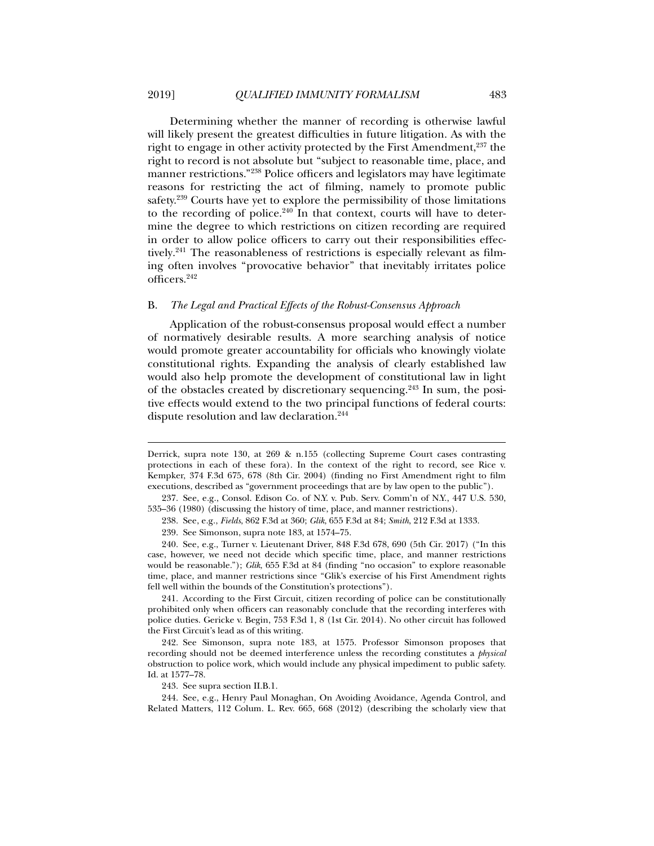Determining whether the manner of recording is otherwise lawful will likely present the greatest difficulties in future litigation. As with the right to engage in other activity protected by the First Amendment, $237$  the right to record is not absolute but "subject to reasonable time, place, and manner restrictions."238 Police officers and legislators may have legitimate reasons for restricting the act of filming, namely to promote public safety.239 Courts have yet to explore the permissibility of those limitations to the recording of police.<sup>240</sup> In that context, courts will have to determine the degree to which restrictions on citizen recording are required in order to allow police officers to carry out their responsibilities effectively.<sup>241</sup> The reasonableness of restrictions is especially relevant as filming often involves "provocative behavior" that inevitably irritates police officers.242

## B. *The Legal and Practical Effects of the Robust-Consensus Approach*

Application of the robust-consensus proposal would effect a number of normatively desirable results. A more searching analysis of notice would promote greater accountability for officials who knowingly violate constitutional rights. Expanding the analysis of clearly established law would also help promote the development of constitutional law in light of the obstacles created by discretionary sequencing.243 In sum, the positive effects would extend to the two principal functions of federal courts: dispute resolution and law declaration.<sup>244</sup>

 241. According to the First Circuit, citizen recording of police can be constitutionally prohibited only when officers can reasonably conclude that the recording interferes with police duties. Gericke v. Begin, 753 F.3d 1, 8 (1st Cir. 2014). No other circuit has followed the First Circuit's lead as of this writing.

243. See supra section II.B.1.

Derrick, supra note 130, at 269 & n.155 (collecting Supreme Court cases contrasting protections in each of these fora). In the context of the right to record, see Rice v. Kempker, 374 F.3d 675, 678 (8th Cir. 2004) (finding no First Amendment right to film executions, described as "government proceedings that are by law open to the public").

 <sup>237.</sup> See, e.g., Consol. Edison Co. of N.Y. v. Pub. Serv. Comm'n of N.Y., 447 U.S. 530, 535–36 (1980) (discussing the history of time, place, and manner restrictions).

 <sup>238.</sup> See, e.g., *Fields*, 862 F.3d at 360; *Glik*, 655 F.3d at 84; *Smith*, 212 F.3d at 1333.

 <sup>239.</sup> See Simonson, supra note 183, at 1574–75.

 <sup>240.</sup> See, e.g., Turner v. Lieutenant Driver, 848 F.3d 678, 690 (5th Cir. 2017) ("In this case, however, we need not decide which specific time, place, and manner restrictions would be reasonable."); *Glik*, 655 F.3d at 84 (finding "no occasion" to explore reasonable time, place, and manner restrictions since "Glik's exercise of his First Amendment rights fell well within the bounds of the Constitution's protections").

 <sup>242.</sup> See Simonson, supra note 183, at 1575. Professor Simonson proposes that recording should not be deemed interference unless the recording constitutes a *physical* obstruction to police work, which would include any physical impediment to public safety. Id. at 1577–78.

 <sup>244.</sup> See, e.g., Henry Paul Monaghan, On Avoiding Avoidance, Agenda Control, and Related Matters, 112 Colum. L. Rev. 665, 668 (2012) (describing the scholarly view that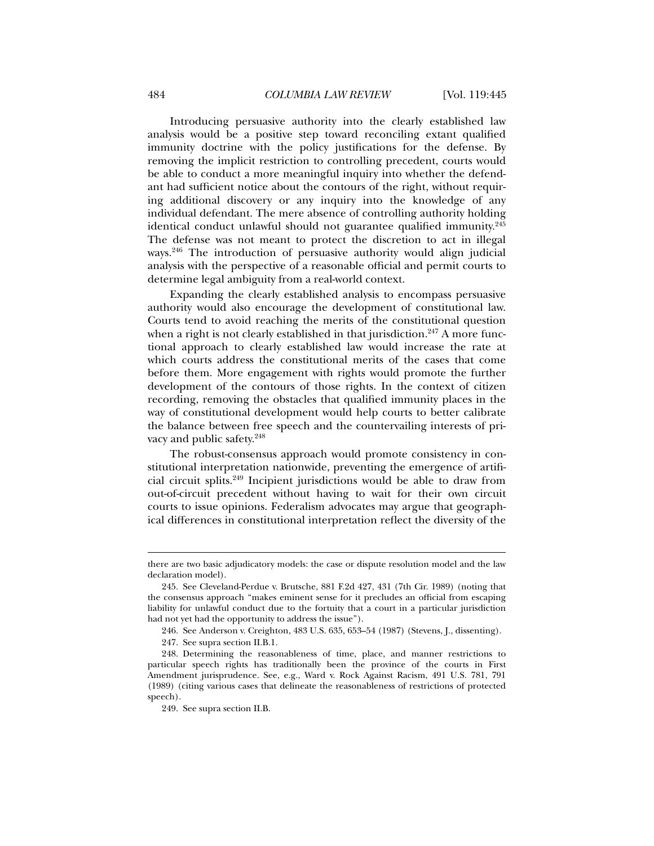Introducing persuasive authority into the clearly established law analysis would be a positive step toward reconciling extant qualified immunity doctrine with the policy justifications for the defense. By removing the implicit restriction to controlling precedent, courts would be able to conduct a more meaningful inquiry into whether the defendant had sufficient notice about the contours of the right, without requiring additional discovery or any inquiry into the knowledge of any individual defendant. The mere absence of controlling authority holding identical conduct unlawful should not guarantee qualified immunity.<sup>245</sup> The defense was not meant to protect the discretion to act in illegal ways.246 The introduction of persuasive authority would align judicial analysis with the perspective of a reasonable official and permit courts to determine legal ambiguity from a real-world context.

Expanding the clearly established analysis to encompass persuasive authority would also encourage the development of constitutional law. Courts tend to avoid reaching the merits of the constitutional question when a right is not clearly established in that jurisdiction.<sup>247</sup> A more functional approach to clearly established law would increase the rate at which courts address the constitutional merits of the cases that come before them. More engagement with rights would promote the further development of the contours of those rights. In the context of citizen recording, removing the obstacles that qualified immunity places in the way of constitutional development would help courts to better calibrate the balance between free speech and the countervailing interests of privacy and public safety.248

The robust-consensus approach would promote consistency in constitutional interpretation nationwide, preventing the emergence of artificial circuit splits.249 Incipient jurisdictions would be able to draw from out-of-circuit precedent without having to wait for their own circuit courts to issue opinions. Federalism advocates may argue that geographical differences in constitutional interpretation reflect the diversity of the

there are two basic adjudicatory models: the case or dispute resolution model and the law declaration model).

 <sup>245.</sup> See Cleveland-Perdue v. Brutsche, 881 F.2d 427, 431 (7th Cir. 1989) (noting that the consensus approach "makes eminent sense for it precludes an official from escaping liability for unlawful conduct due to the fortuity that a court in a particular jurisdiction had not yet had the opportunity to address the issue").

 <sup>246.</sup> See Anderson v. Creighton, 483 U.S. 635, 653–54 (1987) (Stevens, J., dissenting).

 <sup>247.</sup> See supra section II.B.1.

 <sup>248.</sup> Determining the reasonableness of time, place, and manner restrictions to particular speech rights has traditionally been the province of the courts in First Amendment jurisprudence. See, e.g., Ward v. Rock Against Racism, 491 U.S. 781, 791 (1989) (citing various cases that delineate the reasonableness of restrictions of protected speech).

 <sup>249.</sup> See supra section II.B.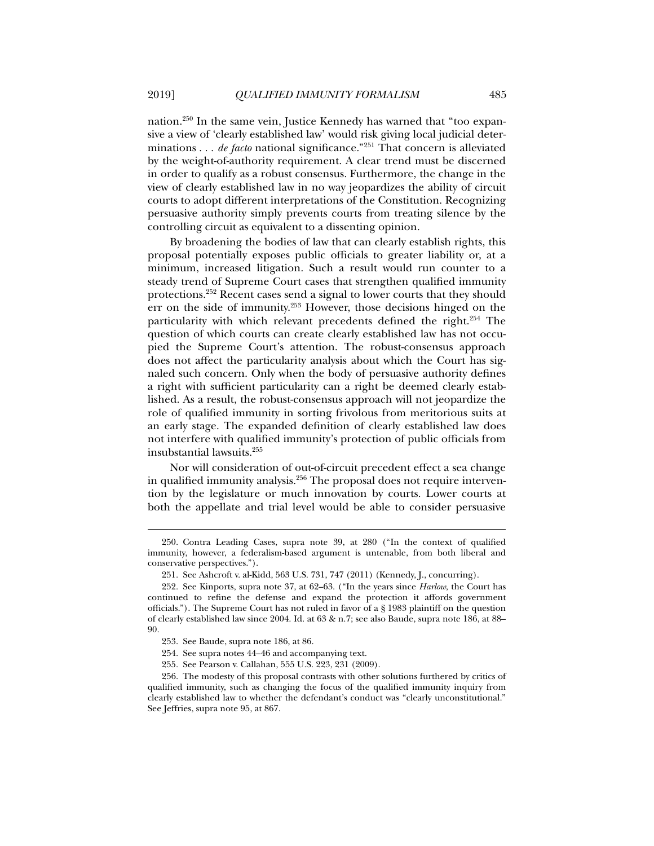nation.250 In the same vein, Justice Kennedy has warned that "too expansive a view of 'clearly established law' would risk giving local judicial determinations . . . *de facto* national significance."251 That concern is alleviated by the weight-of-authority requirement. A clear trend must be discerned in order to qualify as a robust consensus. Furthermore, the change in the view of clearly established law in no way jeopardizes the ability of circuit courts to adopt different interpretations of the Constitution. Recognizing persuasive authority simply prevents courts from treating silence by the controlling circuit as equivalent to a dissenting opinion.

By broadening the bodies of law that can clearly establish rights, this proposal potentially exposes public officials to greater liability or, at a minimum, increased litigation. Such a result would run counter to a steady trend of Supreme Court cases that strengthen qualified immunity protections.252 Recent cases send a signal to lower courts that they should err on the side of immunity.253 However, those decisions hinged on the particularity with which relevant precedents defined the right.254 The question of which courts can create clearly established law has not occupied the Supreme Court's attention. The robust-consensus approach does not affect the particularity analysis about which the Court has signaled such concern. Only when the body of persuasive authority defines a right with sufficient particularity can a right be deemed clearly established. As a result, the robust-consensus approach will not jeopardize the role of qualified immunity in sorting frivolous from meritorious suits at an early stage. The expanded definition of clearly established law does not interfere with qualified immunity's protection of public officials from insubstantial lawsuits.255

Nor will consideration of out-of-circuit precedent effect a sea change in qualified immunity analysis.256 The proposal does not require intervention by the legislature or much innovation by courts. Lower courts at both the appellate and trial level would be able to consider persuasive

 <sup>250.</sup> Contra Leading Cases, supra note 39, at 280 ("In the context of qualified immunity, however, a federalism-based argument is untenable, from both liberal and conservative perspectives.").

 <sup>251.</sup> See Ashcroft v. al-Kidd, 563 U.S. 731, 747 (2011) (Kennedy, J., concurring).

 <sup>252.</sup> See Kinports, supra note 37, at 62–63. ("In the years since *Harlow*, the Court has continued to refine the defense and expand the protection it affords government officials."). The Supreme Court has not ruled in favor of a § 1983 plaintiff on the question of clearly established law since 2004. Id. at 63 & n.7; see also Baude, supra note 186, at 88– 90.

 <sup>253.</sup> See Baude, supra note 186, at 86.

 <sup>254.</sup> See supra notes 44–46 and accompanying text.

 <sup>255.</sup> See Pearson v. Callahan, 555 U.S. 223, 231 (2009).

 <sup>256.</sup> The modesty of this proposal contrasts with other solutions furthered by critics of qualified immunity, such as changing the focus of the qualified immunity inquiry from clearly established law to whether the defendant's conduct was "clearly unconstitutional." See Jeffries, supra note 95, at 867.